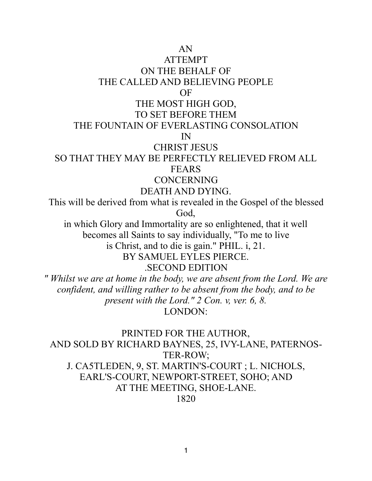AN

ATTEMPT

ON THE BEHALF OF THE CALLED AND BELIEVING PEOPLE

OF

### THE MOST HIGH GOD,

#### TO SET BEFORE THEM

#### THE FOUNTAIN OF EVERLASTING CONSOLATION

IN

### CHRIST JESUS

#### SO THAT THEY MAY BE PERFECTLY RELIEVED FROM ALL FEARS

#### CONCERNING

### DEATH AND DYING.

This will be derived from what is revealed in the Gospel of the blessed God,

in which Glory and Immortality are so enlightened, that it well becomes all Saints to say individually, "To me to live is Christ, and to die is gain." PHIL. i, 21. BY SAMUEL EYLES PIERCE.

.SECOND EDITION

*" Whilst we are at home in the body, we are absent from the Lord. We are confident, and willing rather to be absent from the body, and to be present with the Lord." 2 Con. v, ver. 6, 8.* LONDON:

PRINTED FOR THE AUTHOR, AND SOLD BY RICHARD BAYNES, 25, IVY-LANE, PATERNOS-TER-ROW; J. CA5TLEDEN, 9, ST. MARTIN'S-COURT ; L. NICHOLS, EARL'S-COURT, NEWPORT-STREET, SOHO; AND AT THE MEETING, SHOE-LANE. 1820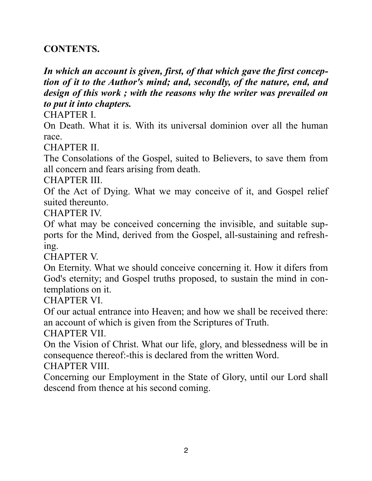### **CONTENTS.**

*In which an account is given, first, of that which gave the first conception of it to the Author's mind; and, secondly, of the nature, end, and design of this work ; with the reasons why the writer was prevailed on to put it into chapters.*

CHAPTER I.

On Death. What it is. With its universal dominion over all the human race.

CHAPTER II.

The Consolations of the Gospel, suited to Believers, to save them from all concern and fears arising from death.

CHAPTER III.

Of the Act of Dying. What we may conceive of it, and Gospel relief suited thereunto.

CHAPTER IV.

Of what may be conceived concerning the invisible, and suitable supports for the Mind, derived from the Gospel, all-sustaining and refreshing.

CHAPTER V.

On Eternity. What we should conceive concerning it. How it difers from God's eternity; and Gospel truths proposed, to sustain the mind in contemplations on it.

CHAPTER VI.

Of our actual entrance into Heaven; and how we shall be received there: an account of which is given from the Scriptures of Truth.

CHAPTER VII.

On the Vision of Christ. What our life, glory, and blessedness will be in consequence thereof:-this is declared from the written Word.

CHAPTER VIII.

Concerning our Employment in the State of Glory, until our Lord shall descend from thence at his second coming.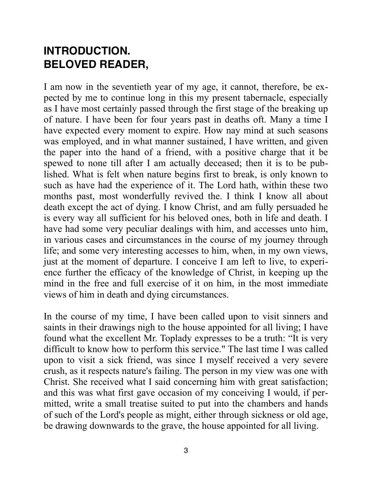# **INTRODUCTION. BELOVED READER,**

I am now in the seventieth year of my age, it cannot, therefore, be expected by me to continue long in this my present tabernacle, especially as I have most certainly passed through the first stage of the breaking up of nature. I have been for four years past in deaths oft. Many a time I have expected every moment to expire. How nay mind at such seasons was employed, and in what manner sustained, I have written, and given the paper into the hand of a friend, with a positive charge that it be spewed to none till after I am actually deceased; then it is to be published. What is felt when nature begins first to break, is only known to such as have had the experience of it. The Lord hath, within these two months past, most wonderfully revived the. I think I know all about death except the act of dying. I know Christ, and am fully persuaded he is every way all sufficient for his beloved ones, both in life and death. I have had some very peculiar dealings with him, and accesses unto him, in various cases and circumstances in the course of my journey through life; and some very interesting accesses to him, when, in my own views, just at the moment of departure. I conceive I am left to live, to experience further the efficacy of the knowledge of Christ, in keeping up the mind in the free and full exercise of it on him, in the most immediate views of him in death and dying circumstances.

In the course of my time, I have been called upon to visit sinners and saints in their drawings nigh to the house appointed for all living; I have found what the excellent Mr. Toplady expresses to be a truth: "It is very difficult to know how to perform this service." The last time I was called upon to visit a sick friend, was since I myself received a very severe crush, as it respects nature's failing. The person in my view was one with Christ. She received what I said concerning him with great satisfaction; and this was what first gave occasion of my conceiving I would, if permitted, write a small treatise suited to put into the chambers and hands of such of the Lord's people as might, either through sickness or old age, be drawing downwards to the grave, the house appointed for all living.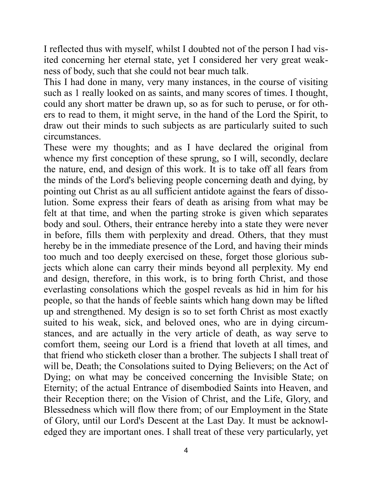I reflected thus with myself, whilst I doubted not of the person I had visited concerning her eternal state, yet I considered her very great weakness of body, such that she could not bear much talk.

This I had done in many, very many instances, in the course of visiting such as 1 really looked on as saints, and many scores of times. I thought, could any short matter be drawn up, so as for such to peruse, or for others to read to them, it might serve, in the hand of the Lord the Spirit, to draw out their minds to such subjects as are particularly suited to such circumstances.

These were my thoughts; and as I have declared the original from whence my first conception of these sprung, so I will, secondly, declare the nature, end, and design of this work. It is to take off all fears from the minds of the Lord's believing people concerning death and dying, by pointing out Christ as au all sufficient antidote against the fears of dissolution. Some express their fears of death as arising from what may be felt at that time, and when the parting stroke is given which separates body and soul. Others, their entrance hereby into a state they were never in before, fills them with perplexity and dread. Others, that they must hereby be in the immediate presence of the Lord, and having their minds too much and too deeply exercised on these, forget those glorious subjects which alone can carry their minds beyond all perplexity. My end and design, therefore, in this work, is to bring forth Christ, and those everlasting consolations which the gospel reveals as hid in him for his people, so that the hands of feeble saints which hang down may be lifted up and strengthened. My design is so to set forth Christ as most exactly suited to his weak, sick, and beloved ones, who are in dying circumstances, and are actually in the very article of death, as way serve to comfort them, seeing our Lord is a friend that loveth at all times, and that friend who sticketh closer than a brother. The subjects I shall treat of will be, Death; the Consolations suited to Dying Believers; on the Act of Dying; on what may be conceived concerning the Invisible State; on Eternity; of the actual Entrance of disembodied Saints into Heaven, and their Reception there; on the Vision of Christ, and the Life, Glory, and Blessedness which will flow there from; of our Employment in the State of Glory, until our Lord's Descent at the Last Day. It must be acknowledged they are important ones. I shall treat of these very particularly, yet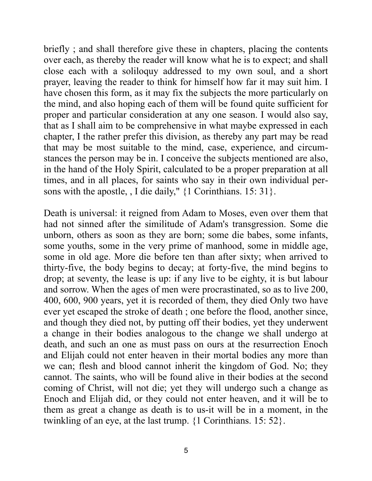briefly ; and shall therefore give these in chapters, placing the contents over each, as thereby the reader will know what he is to expect; and shall close each with a soliloquy addressed to my own soul, and a short prayer, leaving the reader to think for himself how far it may suit him. I have chosen this form, as it may fix the subjects the more particularly on the mind, and also hoping each of them will be found quite sufficient for proper and particular consideration at any one season. I would also say, that as I shall aim to be comprehensive in what maybe expressed in each chapter, I the rather prefer this division, as thereby any part may be read that may be most suitable to the mind, case, experience, and circumstances the person may be in. I conceive the subjects mentioned are also, in the hand of the Holy Spirit, calculated to be a proper preparation at all times, and in all places, for saints who say in their own individual persons with the apostle, , I die daily," {1 Corinthians. 15: 31}.

Death is universal: it reigned from Adam to Moses, even over them that had not sinned after the similitude of Adam's transgression. Some die unborn, others as soon as they are born; some die babes, some infants, some youths, some in the very prime of manhood, some in middle age, some in old age. More die before ten than after sixty; when arrived to thirty-five, the body begins to decay; at forty-five, the mind begins to drop; at seventy, the lease is up: if any live to be eighty, it is but labour and sorrow. When the ages of men were procrastinated, so as to live 200, 400, 600, 900 years, yet it is recorded of them, they died Only two have ever yet escaped the stroke of death ; one before the flood, another since, and though they died not, by putting off their bodies, yet they underwent a change in their bodies analogous to the change we shall undergo at death, and such an one as must pass on ours at the resurrection Enoch and Elijah could not enter heaven in their mortal bodies any more than we can; flesh and blood cannot inherit the kingdom of God. No; they cannot. The saints, who will be found alive in their bodies at the second coming of Christ, will not die; yet they will undergo such a change as Enoch and Elijah did, or they could not enter heaven, and it will be to them as great a change as death is to us-it will be in a moment, in the twinkling of an eye, at the last trump. {1 Corinthians. 15: 52}.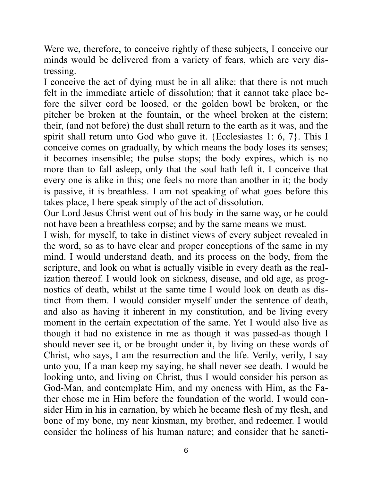Were we, therefore, to conceive rightly of these subjects, I conceive our minds would be delivered from a variety of fears, which are very distressing.

I conceive the act of dying must be in all alike: that there is not much felt in the immediate article of dissolution; that it cannot take place before the silver cord be loosed, or the golden bowl be broken, or the pitcher be broken at the fountain, or the wheel broken at the cistern; their, (and not before) the dust shall return to the earth as it was, and the spirit shall return unto God who gave it. {Ecclesiastes 1: 6, 7}. This I conceive comes on gradually, by which means the body loses its senses; it becomes insensible; the pulse stops; the body expires, which is no more than to fall asleep, only that the soul hath left it. I conceive that every one is alike in this; one feels no more than another in it; the body is passive, it is breathless. I am not speaking of what goes before this takes place, I here speak simply of the act of dissolution.

Our Lord Jesus Christ went out of his body in the same way, or he could not have been a breathless corpse; and by the same means we must.

I wish, for myself, to take in distinct views of every subject revealed in the word, so as to have clear and proper conceptions of the same in my mind. I would understand death, and its process on the body, from the scripture, and look on what is actually visible in every death as the realization thereof. I would look on sickness, disease, and old age, as prognostics of death, whilst at the same time I would look on death as distinct from them. I would consider myself under the sentence of death, and also as having it inherent in my constitution, and be living every moment in the certain expectation of the same. Yet I would also live as though it had no existence in me as though it was passed-as though I should never see it, or be brought under it, by living on these words of Christ, who says, I am the resurrection and the life. Verily, verily, I say unto you, If a man keep my saying, he shall never see death. I would be looking unto, and living on Christ, thus I would consider his person as God-Man, and contemplate Him, and my oneness with Him, as the Father chose me in Him before the foundation of the world. I would consider Him in his in carnation, by which he became flesh of my flesh, and bone of my bone, my near kinsman, my brother, and redeemer. I would consider the holiness of his human nature; and consider that he sancti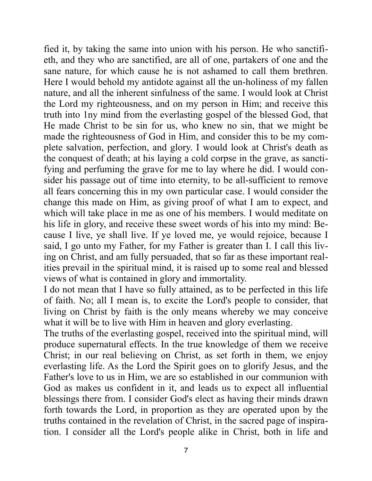fied it, by taking the same into union with his person. He who sanctifieth, and they who are sanctified, are all of one, partakers of one and the sane nature, for which cause he is not ashamed to call them brethren. Here I would behold my antidote against all the un-holiness of my fallen nature, and all the inherent sinfulness of the same. I would look at Christ the Lord my righteousness, and on my person in Him; and receive this truth into 1ny mind from the everlasting gospel of the blessed God, that He made Christ to be sin for us, who knew no sin, that we might be made the righteousness of God in Him, and consider this to be my complete salvation, perfection, and glory. I would look at Christ's death as the conquest of death; at his laying a cold corpse in the grave, as sanctifying and perfuming the grave for me to lay where he did. I would consider his passage out of time into eternity, to be all-sufficient to remove all fears concerning this in my own particular case. I would consider the change this made on Him, as giving proof of what I am to expect, and which will take place in me as one of his members. I would meditate on his life in glory, and receive these sweet words of his into my mind: Because I live, ye shall live. If ye loved me, ye would rejoice, because I said, I go unto my Father, for my Father is greater than I. I call this living on Christ, and am fully persuaded, that so far as these important realities prevail in the spiritual mind, it is raised up to some real and blessed views of what is contained in glory and immortality.

I do not mean that I have so fully attained, as to be perfected in this life of faith. No; all I mean is, to excite the Lord's people to consider, that living on Christ by faith is the only means whereby we may conceive what it will be to live with Him in heaven and glory everlasting.

The truths of the everlasting gospel, received into the spiritual mind, will produce supernatural effects. In the true knowledge of them we receive Christ; in our real believing on Christ, as set forth in them, we enjoy everlasting life. As the Lord the Spirit goes on to glorify Jesus, and the Father's love to us in Him, we are so established in our communion with God as makes us confident in it, and leads us to expect all influential blessings there from. I consider God's elect as having their minds drawn forth towards the Lord, in proportion as they are operated upon by the truths contained in the revelation of Christ, in the sacred page of inspiration. I consider all the Lord's people alike in Christ, both in life and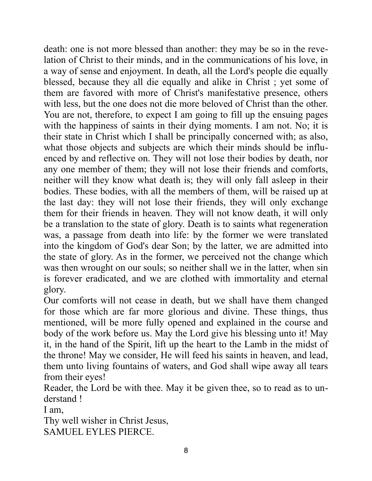death: one is not more blessed than another: they may be so in the revelation of Christ to their minds, and in the communications of his love, in a way of sense and enjoyment. In death, all the Lord's people die equally blessed, because they all die equally and alike in Christ ; yet some of them are favored with more of Christ's manifestative presence, others with less, but the one does not die more beloved of Christ than the other. You are not, therefore, to expect I am going to fill up the ensuing pages with the happiness of saints in their dying moments. I am not. No; it is their state in Christ which I shall be principally concerned with; as also, what those objects and subjects are which their minds should be influenced by and reflective on. They will not lose their bodies by death, nor any one member of them; they will not lose their friends and comforts, neither will they know what death is; they will only fall asleep in their bodies. These bodies, with all the members of them, will be raised up at the last day: they will not lose their friends, they will only exchange them for their friends in heaven. They will not know death, it will only be a translation to the state of glory. Death is to saints what regeneration was, a passage from death into life: by the former we were translated into the kingdom of God's dear Son; by the latter, we are admitted into the state of glory. As in the former, we perceived not the change which was then wrought on our souls; so neither shall we in the latter, when sin is forever eradicated, and we are clothed with immortality and eternal glory.

Our comforts will not cease in death, but we shall have them changed for those which are far more glorious and divine. These things, thus mentioned, will be more fully opened and explained in the course and body of the work before us. May the Lord give his blessing unto it! May it, in the hand of the Spirit, lift up the heart to the Lamb in the midst of the throne! May we consider, He will feed his saints in heaven, and lead, them unto living fountains of waters, and God shall wipe away all tears from their eyes!

Reader, the Lord be with thee. May it be given thee, so to read as to understand !

I am,

Thy well wisher in Christ Jesus, SAMUEL EYLES PIERCE.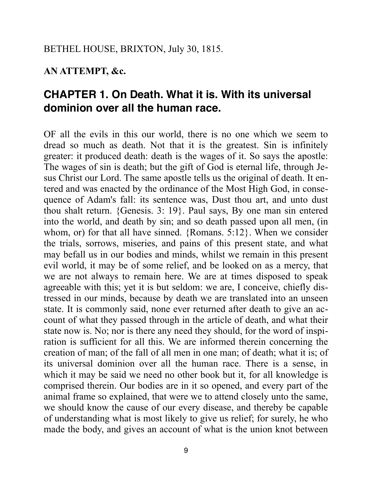### **AN ATTEMPT, &c.**

# **CHAPTER 1. On Death. What it is. With its universal dominion over all the human race.**

OF all the evils in this our world, there is no one which we seem to dread so much as death. Not that it is the greatest. Sin is infinitely greater: it produced death: death is the wages of it. So says the apostle: The wages of sin is death; but the gift of God is eternal life, through Jesus Christ our Lord. The same apostle tells us the original of death. It entered and was enacted by the ordinance of the Most High God, in consequence of Adam's fall: its sentence was, Dust thou art, and unto dust thou shalt return. {Genesis. 3: 19}. Paul says, By one man sin entered into the world, and death by sin; and so death passed upon all men, (in whom, or) for that all have sinned. {Romans. 5:12}. When we consider the trials, sorrows, miseries, and pains of this present state, and what may befall us in our bodies and minds, whilst we remain in this present evil world, it may be of some relief, and be looked on as a mercy, that we are not always to remain here. We are at times disposed to speak agreeable with this; yet it is but seldom: we are, I conceive, chiefly distressed in our minds, because by death we are translated into an unseen state. It is commonly said, none ever returned after death to give an account of what they passed through in the article of death, and what their state now is. No; nor is there any need they should, for the word of inspiration is sufficient for all this. We are informed therein concerning the creation of man; of the fall of all men in one man; of death; what it is; of its universal dominion over all the human race. There is a sense, in which it may be said we need no other book but it, for all knowledge is comprised therein. Our bodies are in it so opened, and every part of the animal frame so explained, that were we to attend closely unto the same, we should know the cause of our every disease, and thereby be capable of understanding what is most likely to give us relief; for surely, he who made the body, and gives an account of what is the union knot between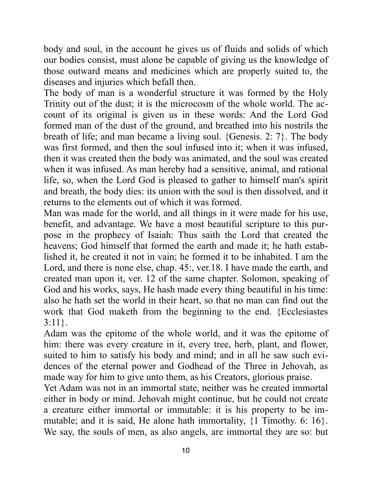body and soul, in the account he gives us of fluids and solids of which our bodies consist, must alone be capable of giving us the knowledge of those outward means and medicines which are properly suited to, the diseases and injuries which befall then.

The body of man is a wonderful structure it was formed by the Holy Trinity out of the dust; it is the microcosm of the whole world. The account of its original is given us in these words: And the Lord God formed man of the dust of the ground, and breathed into his nostrils the breath of life; and man became a living soul. {Genesis. 2: 7}. The body was first formed, and then the soul infused into it; when it was infused, then it was created then the body was animated, and the soul was created when it was infused. As man hereby had a sensitive, animal, and rational life, so, when the Lord God is pleased to gather to himself man's spirit and breath, the body dies: its union with the soul is then dissolved, and it returns to the elements out of which it was formed.

Man was made for the world, and all things in it were made for his use, benefit, and advantage. We have a most beautiful scripture to this purpose in the prophecy of Isaiah: Thus saith the Lord that created the heavens; God himself that formed the earth and made it; he hath established it, he created it not in vain; he formed it to be inhabited. I am the Lord, and there is none else, chap. 45:, ver. 18. I have made the earth, and created man upon it, ver. 12 of the same chapter. Solomon, speaking of God and his works, says, He hash made every thing beautiful in his time: also he hath set the world in their heart, so that no man can find out the work that God maketh from the beginning to the end. {Ecclesiastes 3:11}.

Adam was the epitome of the whole world, and it was the epitome of him: there was every creature in it, every tree, herb, plant, and flower, suited to him to satisfy his body and mind; and in all he saw such evidences of the eternal power and Godhead of the Three in Jehovah, as made way for him to give unto them, as his Creators, glorious praise.

Yet Adam was not in an immortal state, neither was he created immortal either in body or mind. Jehovah might continue, but he could not create a creature either immortal or immutable: it is his property to be immutable; and it is said, He alone hath immortality, {1 Timothy. 6: 16}. We say, the souls of men, as also angels, are immortal they are so: but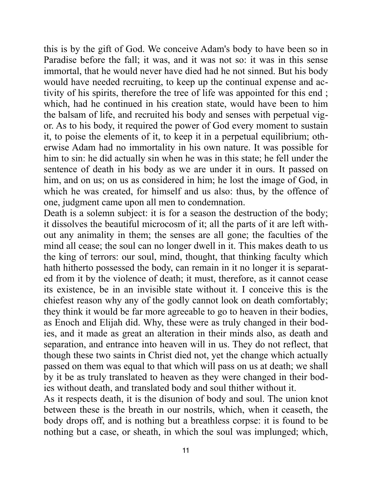this is by the gift of God. We conceive Adam's body to have been so in Paradise before the fall; it was, and it was not so: it was in this sense immortal, that he would never have died had he not sinned. But his body would have needed recruiting, to keep up the continual expense and activity of his spirits, therefore the tree of life was appointed for this end ; which, had he continued in his creation state, would have been to him the balsam of life, and recruited his body and senses with perpetual vigor. As to his body, it required the power of God every moment to sustain it, to poise the elements of it, to keep it in a perpetual equilibrium; otherwise Adam had no immortality in his own nature. It was possible for him to sin: he did actually sin when he was in this state; he fell under the sentence of death in his body as we are under it in ours. It passed on him, and on us; on us as considered in him; he lost the image of God, in which he was created, for himself and us also: thus, by the offence of one, judgment came upon all men to condemnation.

Death is a solemn subject: it is for a season the destruction of the body; it dissolves the beautiful microcosm of it; all the parts of it are left without any animality in them; the senses are all gone; the faculties of the mind all cease; the soul can no longer dwell in it. This makes death to us the king of terrors: our soul, mind, thought, that thinking faculty which hath hitherto possessed the body, can remain in it no longer it is separated from it by the violence of death; it must, therefore, as it cannot cease its existence, be in an invisible state without it. I conceive this is the chiefest reason why any of the godly cannot look on death comfortably; they think it would be far more agreeable to go to heaven in their bodies, as Enoch and Elijah did. Why, these were as truly changed in their bodies, and it made as great an alteration in their minds also, as death and separation, and entrance into heaven will in us. They do not reflect, that though these two saints in Christ died not, yet the change which actually passed on them was equal to that which will pass on us at death; we shall by it be as truly translated to heaven as they were changed in their bodies without death, and translated body and soul thither without it.

As it respects death, it is the disunion of body and soul. The union knot between these is the breath in our nostrils, which, when it ceaseth, the body drops off, and is nothing but a breathless corpse: it is found to be nothing but a case, or sheath, in which the soul was implunged; which,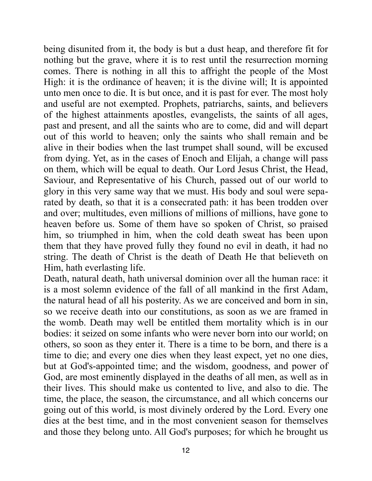being disunited from it, the body is but a dust heap, and therefore fit for nothing but the grave, where it is to rest until the resurrection morning comes. There is nothing in all this to affright the people of the Most High: it is the ordinance of heaven; it is the divine will; It is appointed unto men once to die. It is but once, and it is past for ever. The most holy and useful are not exempted. Prophets, patriarchs, saints, and believers of the highest attainments apostles, evangelists, the saints of all ages, past and present, and all the saints who are to come, did and will depart out of this world to heaven; only the saints who shall remain and be alive in their bodies when the last trumpet shall sound, will be excused from dying. Yet, as in the cases of Enoch and Elijah, a change will pass on them, which will be equal to death. Our Lord Jesus Christ, the Head, Saviour, and Representative of his Church, passed out of our world to glory in this very same way that we must. His body and soul were separated by death, so that it is a consecrated path: it has been trodden over and over; multitudes, even millions of millions of millions, have gone to heaven before us. Some of them have so spoken of Christ, so praised him, so triumphed in him, when the cold death sweat has been upon them that they have proved fully they found no evil in death, it had no string. The death of Christ is the death of Death He that believeth on Him, hath everlasting life.

Death, natural death, hath universal dominion over all the human race: it is a most solemn evidence of the fall of all mankind in the first Adam, the natural head of all his posterity. As we are conceived and born in sin, so we receive death into our constitutions, as soon as we are framed in the womb. Death may well be entitled them mortality which is in our bodies: it seized on some infants who were never born into our world; on others, so soon as they enter it. There is a time to be born, and there is a time to die; and every one dies when they least expect, yet no one dies, but at God's-appointed time; and the wisdom, goodness, and power of God, are most eminently displayed in the deaths of all men, as well as in their lives. This should make us contented to live, and also to die. The time, the place, the season, the circumstance, and all which concerns our going out of this world, is most divinely ordered by the Lord. Every one dies at the best time, and in the most convenient season for themselves and those they belong unto. All God's purposes; for which he brought us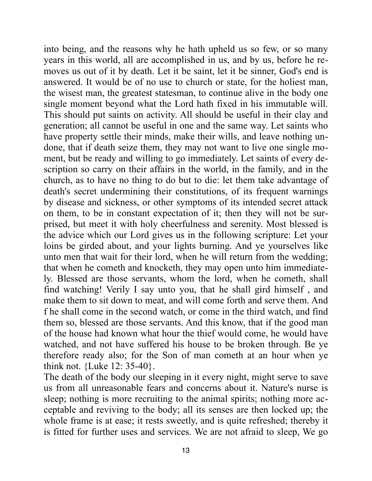into being, and the reasons why he hath upheld us so few, or so many years in this world, all are accomplished in us, and by us, before he removes us out of it by death. Let it be saint, let it be sinner, God's end is answered. It would be of no use to church or state, for the holiest man, the wisest man, the greatest statesman, to continue alive in the body one single moment beyond what the Lord hath fixed in his immutable will. This should put saints on activity. All should be useful in their clay and generation; all cannot be useful in one and the same way. Let saints who have property settle their minds, make their wills, and leave nothing undone, that if death seize them, they may not want to live one single moment, but be ready and willing to go immediately. Let saints of every description so carry on their affairs in the world, in the family, and in the church, as to have no thing to do but to die: let them take advantage of death's secret undermining their constitutions, of its frequent warnings by disease and sickness, or other symptoms of its intended secret attack on them, to be in constant expectation of it; then they will not be surprised, but meet it with holy cheerfulness and serenity. Most blessed is the advice which our Lord gives us in the following scripture: Let your loins be girded about, and your lights burning. And ye yourselves like unto men that wait for their lord, when he will return from the wedding; that when he cometh and knocketh, they may open unto him immediately. Blessed are those servants, whom the lord, when he cometh, shall find watching! Verily I say unto you, that he shall gird himself , and make them to sit down to meat, and will come forth and serve them. And f he shall come in the second watch, or come in the third watch, and find them so, blessed are those servants. And this know, that if the good man of the house had known what hour the thief would come, he would have watched, and not have suffered his house to be broken through. Be ye therefore ready also; for the Son of man cometh at an hour when ye think not. {Luke 12: 35-40}.

The death of the body our sleeping in it every night, might serve to save us from all unreasonable fears and concerns about it. Nature's nurse is sleep; nothing is more recruiting to the animal spirits; nothing more acceptable and reviving to the body; all its senses are then locked up; the whole frame is at ease; it rests sweetly, and is quite refreshed; thereby it is fitted for further uses and services. We are not afraid to sleep, We go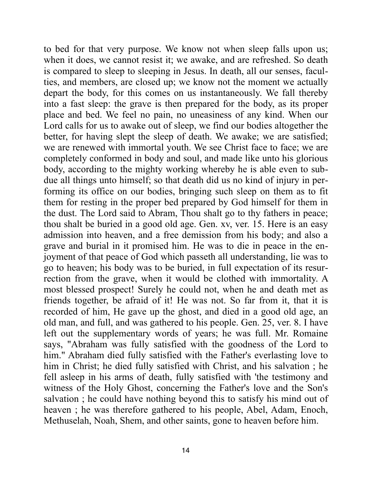to bed for that very purpose. We know not when sleep falls upon us; when it does, we cannot resist it; we awake, and are refreshed. So death is compared to sleep to sleeping in Jesus. In death, all our senses, faculties, and members, are closed up; we know not the moment we actually depart the body, for this comes on us instantaneously. We fall thereby into a fast sleep: the grave is then prepared for the body, as its proper place and bed. We feel no pain, no uneasiness of any kind. When our Lord calls for us to awake out of sleep, we find our bodies altogether the better, for having slept the sleep of death. We awake; we are satisfied; we are renewed with immortal youth. We see Christ face to face; we are completely conformed in body and soul, and made like unto his glorious body, according to the mighty working whereby he is able even to subdue all things unto himself; so that death did us no kind of injury in performing its office on our bodies, bringing such sleep on them as to fit them for resting in the proper bed prepared by God himself for them in the dust. The Lord said to Abram, Thou shalt go to thy fathers in peace; thou shalt be buried in a good old age. Gen. xv, ver. 15. Here is an easy admission into heaven, and a free demission from his body; and also a grave and burial in it promised him. He was to die in peace in the enjoyment of that peace of God which passeth all understanding, lie was to go to heaven; his body was to be buried, in full expectation of its resurrection from the grave, when it would be clothed with immortality. A most blessed prospect! Surely he could not, when he and death met as friends together, be afraid of it! He was not. So far from it, that it is recorded of him, He gave up the ghost, and died in a good old age, an old man, and full, and was gathered to his people. Gen. 25, ver. 8. I have left out the supplementary words of years; he was full. Mr. Romaine says, "Abraham was fully satisfied with the goodness of the Lord to him." Abraham died fully satisfied with the Father's everlasting love to him in Christ; he died fully satisfied with Christ, and his salvation ; he fell asleep in his arms of death, fully satisfied with 'the testimony and witness of the Holy Ghost, concerning the Father's love and the Son's salvation ; he could have nothing beyond this to satisfy his mind out of heaven ; he was therefore gathered to his people, Abel, Adam, Enoch, Methuselah, Noah, Shem, and other saints, gone to heaven before him.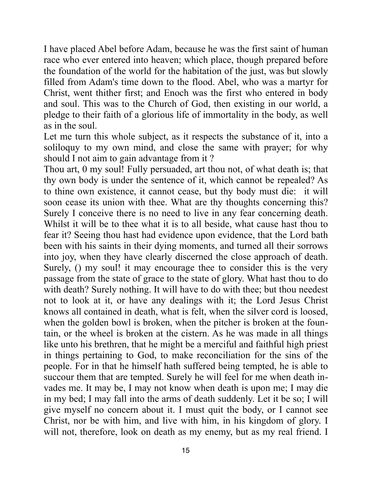I have placed Abel before Adam, because he was the first saint of human race who ever entered into heaven; which place, though prepared before the foundation of the world for the habitation of the just, was but slowly filled from Adam's time down to the flood. Abel, who was a martyr for Christ, went thither first; and Enoch was the first who entered in body and soul. This was to the Church of God, then existing in our world, a pledge to their faith of a glorious life of immortality in the body, as well as in the soul.

Let me turn this whole subject, as it respects the substance of it, into a soliloquy to my own mind, and close the same with prayer; for why should I not aim to gain advantage from it ?

Thou art, 0 my soul! Fully persuaded, art thou not, of what death is; that thy own body is under the sentence of it, which cannot be repealed? As to thine own existence, it cannot cease, but thy body must die: it will soon cease its union with thee. What are thy thoughts concerning this? Surely I conceive there is no need to live in any fear concerning death. Whilst it will be to thee what it is to all beside, what cause hast thou to fear it? Seeing thou hast had evidence upon evidence, that the Lord bath been with his saints in their dying moments, and turned all their sorrows into joy, when they have clearly discerned the close approach of death. Surely, () my soul! it may encourage thee to consider this is the very passage from the state of grace to the state of glory. What hast thou to do with death? Surely nothing. It will have to do with thee; but thou needest not to look at it, or have any dealings with it; the Lord Jesus Christ knows all contained in death, what is felt, when the silver cord is loosed, when the golden bowl is broken, when the pitcher is broken at the fountain, or the wheel is broken at the cistern. As he was made in all things like unto his brethren, that he might be a merciful and faithful high priest in things pertaining to God, to make reconciliation for the sins of the people. For in that he himself hath suffered being tempted, he is able to succour them that are tempted. Surely he will feel for me when death invades me. It may be, I may not know when death is upon me; I may die in my bed; I may fall into the arms of death suddenly. Let it be so; I will give myself no concern about it. I must quit the body, or I cannot see Christ, nor be with him, and live with him, in his kingdom of glory. I will not, therefore, look on death as my enemy, but as my real friend. I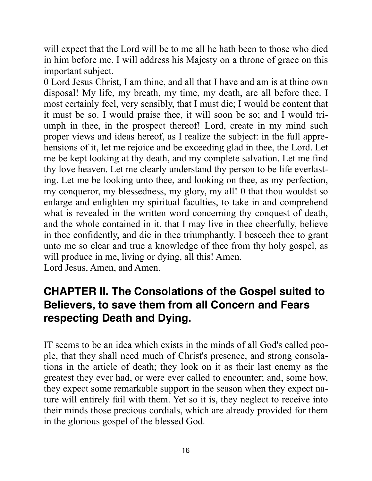will expect that the Lord will be to me all he hath been to those who died in him before me. I will address his Majesty on a throne of grace on this important subject.

0 Lord Jesus Christ, I am thine, and all that I have and am is at thine own disposal! My life, my breath, my time, my death, are all before thee. I most certainly feel, very sensibly, that I must die; I would be content that it must be so. I would praise thee, it will soon be so; and I would triumph in thee, in the prospect thereof! Lord, create in my mind such proper views and ideas hereof, as I realize the subject: in the full apprehensions of it, let me rejoice and be exceeding glad in thee, the Lord. Let me be kept looking at thy death, and my complete salvation. Let me find thy love heaven. Let me clearly understand thy person to be life everlasting. Let me be looking unto thee, and looking on thee, as my perfection, my conqueror, my blessedness, my glory, my all! 0 that thou wouldst so enlarge and enlighten my spiritual faculties, to take in and comprehend what is revealed in the written word concerning thy conquest of death, and the whole contained in it, that I may live in thee cheerfully, believe in thee confidently, and die in thee triumphantly. I beseech thee to grant unto me so clear and true a knowledge of thee from thy holy gospel, as will produce in me, living or dying, all this! Amen. Lord Jesus, Amen, and Amen.

# **CHAPTER II. The Consolations of the Gospel suited to Believers, to save them from all Concern and Fears respecting Death and Dying.**

IT seems to be an idea which exists in the minds of all God's called people, that they shall need much of Christ's presence, and strong consolations in the article of death; they look on it as their last enemy as the greatest they ever had, or were ever called to encounter; and, some how, they expect some remarkable support in the season when they expect nature will entirely fail with them. Yet so it is, they neglect to receive into their minds those precious cordials, which are already provided for them in the glorious gospel of the blessed God.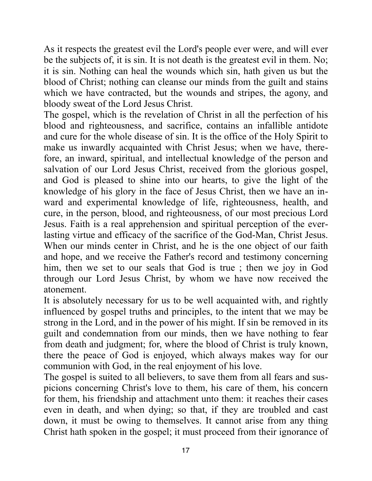As it respects the greatest evil the Lord's people ever were, and will ever be the subjects of, it is sin. It is not death is the greatest evil in them. No; it is sin. Nothing can heal the wounds which sin, hath given us but the blood of Christ; nothing can cleanse our minds from the guilt and stains which we have contracted, but the wounds and stripes, the agony, and bloody sweat of the Lord Jesus Christ.

The gospel, which is the revelation of Christ in all the perfection of his blood and righteousness, and sacrifice, contains an infallible antidote and cure for the whole disease of sin. It is the office of the Holy Spirit to make us inwardly acquainted with Christ Jesus; when we have, therefore, an inward, spiritual, and intellectual knowledge of the person and salvation of our Lord Jesus Christ, received from the glorious gospel, and God is pleased to shine into our hearts, to give the light of the knowledge of his glory in the face of Jesus Christ, then we have an inward and experimental knowledge of life, righteousness, health, and cure, in the person, blood, and righteousness, of our most precious Lord Jesus. Faith is a real apprehension and spiritual perception of the everlasting virtue and efficacy of the sacrifice of the God-Man, Christ Jesus. When our minds center in Christ, and he is the one object of our faith and hope, and we receive the Father's record and testimony concerning him, then we set to our seals that God is true ; then we joy in God through our Lord Jesus Christ, by whom we have now received the atonement.

It is absolutely necessary for us to be well acquainted with, and rightly influenced by gospel truths and principles, to the intent that we may be strong in the Lord, and in the power of his might. If sin be removed in its guilt and condemnation from our minds, then we have nothing to fear from death and judgment; for, where the blood of Christ is truly known, there the peace of God is enjoyed, which always makes way for our communion with God, in the real enjoyment of his love.

The gospel is suited to all believers, to save them from all fears and suspicions concerning Christ's love to them, his care of them, his concern for them, his friendship and attachment unto them: it reaches their cases even in death, and when dying; so that, if they are troubled and cast down, it must be owing to themselves. It cannot arise from any thing Christ hath spoken in the gospel; it must proceed from their ignorance of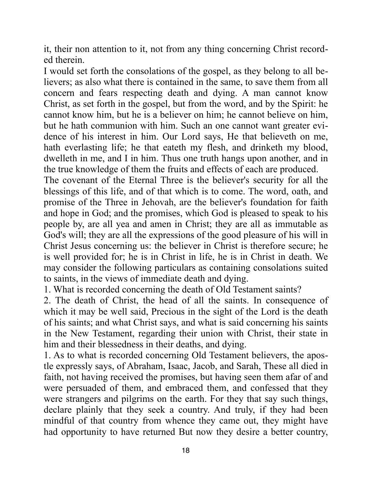it, their non attention to it, not from any thing concerning Christ recorded therein.

I would set forth the consolations of the gospel, as they belong to all believers; as also what there is contained in the same, to save them from all concern and fears respecting death and dying. A man cannot know Christ, as set forth in the gospel, but from the word, and by the Spirit: he cannot know him, but he is a believer on him; he cannot believe on him, but he hath communion with him. Such an one cannot want greater evidence of his interest in him. Our Lord says, He that believeth on me, hath everlasting life; he that eateth my flesh, and drinketh my blood, dwelleth in me, and I in him. Thus one truth hangs upon another, and in the true knowledge of them the fruits and effects of each are produced.

The covenant of the Eternal Three is the believer's security for all the blessings of this life, and of that which is to come. The word, oath, and promise of the Three in Jehovah, are the believer's foundation for faith and hope in God; and the promises, which God is pleased to speak to his people by, are all yea and amen in Christ; they are all as immutable as God's will; they are all the expressions of the good pleasure of his will in Christ Jesus concerning us: the believer in Christ is therefore secure; he is well provided for; he is in Christ in life, he is in Christ in death. We may consider the following particulars as containing consolations suited to saints, in the views of immediate death and dying.

1. What is recorded concerning the death of Old Testament saints?

2. The death of Christ, the head of all the saints. In consequence of which it may be well said, Precious in the sight of the Lord is the death of his saints; and what Christ says, and what is said concerning his saints in the New Testament, regarding their union with Christ, their state in him and their blessedness in their deaths, and dying.

1. As to what is recorded concerning Old Testament believers, the apostle expressly says, of Abraham, Isaac, Jacob, and Sarah, These all died in faith, not having received the promises, but having seen them afar of and were persuaded of them, and embraced them, and confessed that they were strangers and pilgrims on the earth. For they that say such things, declare plainly that they seek a country. And truly, if they had been mindful of that country from whence they came out, they might have had opportunity to have returned But now they desire a better country,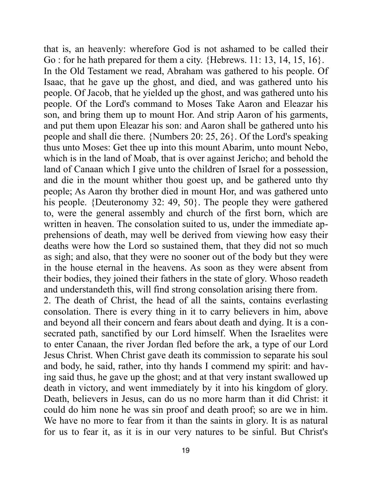that is, an heavenly: wherefore God is not ashamed to be called their Go : for he hath prepared for them a city. {Hebrews. 11: 13, 14, 15, 16}. In the Old Testament we read, Abraham was gathered to his people. Of Isaac, that he gave up the ghost, and died, and was gathered unto his people. Of Jacob, that he yielded up the ghost, and was gathered unto his people. Of the Lord's command to Moses Take Aaron and Eleazar his son, and bring them up to mount Hor. And strip Aaron of his garments, and put them upon Eleazar his son: and Aaron shall be gathered unto his people and shall die there. {Numbers 20: 25, 26}. Of the Lord's speaking thus unto Moses: Get thee up into this mount Abarim, unto mount Nebo, which is in the land of Moab, that is over against Jericho; and behold the land of Canaan which I give unto the children of Israel for a possession, and die in the mount whither thou goest up, and be gathered unto thy people; As Aaron thy brother died in mount Hor, and was gathered unto his people. {Deuteronomy 32: 49, 50}. The people they were gathered to, were the general assembly and church of the first born, which are written in heaven. The consolation suited to us, under the immediate apprehensions of death, may well be derived from viewing how easy their deaths were how the Lord so sustained them, that they did not so much as sigh; and also, that they were no sooner out of the body but they were in the house eternal in the heavens. As soon as they were absent from their bodies, they joined their fathers in the state of glory. Whoso readeth and understandeth this, will find strong consolation arising there from.

2. The death of Christ, the head of all the saints, contains everlasting consolation. There is every thing in it to carry believers in him, above and beyond all their concern and fears about death and dying. It is a consecrated path, sanctified by our Lord himself. When the Israelites were to enter Canaan, the river Jordan fled before the ark, a type of our Lord Jesus Christ. When Christ gave death its commission to separate his soul and body, he said, rather, into thy hands I commend my spirit: and having said thus, he gave up the ghost; and at that very instant swallowed up death in victory, and went immediately by it into his kingdom of glory. Death, believers in Jesus, can do us no more harm than it did Christ: it could do him none he was sin proof and death proof; so are we in him. We have no more to fear from it than the saints in glory. It is as natural for us to fear it, as it is in our very natures to be sinful. But Christ's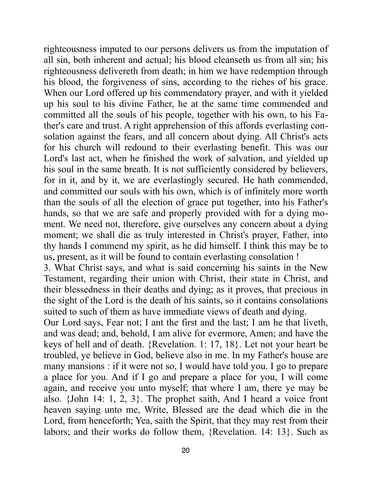righteousness imputed to our persons delivers us from the imputation of all sin, both inherent and actual; his blood cleanseth us from all sin; his righteousness delivereth from death; in him we have redemption through his blood, the forgiveness of sins, according to the riches of his grace. When our Lord offered up his commendatory prayer, and with it yielded up his soul to his divine Father, he at the same time commended and committed all the souls of his people, together with his own, to his Father's care and trust. A right apprehension of this affords everlasting consolation against the fears, and all concern about dying. All Christ's acts for his church will redound to their everlasting benefit. This was our Lord's last act, when he finished the work of salvation, and yielded up his soul in the same breath. It is not sufficiently considered by believers, for in it, and by it, we are everlastingly secured. He hath commended, and committed our souls with his own, which is of infinitely more worth than the souls of all the election of grace put together, into his Father's hands, so that we are safe and properly provided with for a dying moment. We need not, therefore, give ourselves any concern about a dying moment; we shall die as truly interested in Christ's prayer, Father, into thy hands I commend my spirit, as he did himself. I think this may be to us, present, as it will be found to contain everlasting consolation !

3. What Christ says, and what is said concerning his saints in the New Testament, regarding their union with Christ, their state in Christ, and their blessedness in their deaths and dying; as it proves, that precious in the sight of the Lord is the death of his saints, so it contains consolations suited to such of them as have immediate views of death and dying.

Our Lord says, Fear not; I ant the first and the last; I am he that liveth, and was dead; and, behold, I am alive for evermore, Amen; and have the keys of hell and of death. {Revelation. 1: 17, 18}. Let not your heart be troubled, ye believe in God, believe also in me. In my Father's house are many mansions : if it were not so, I would have told you. I go to prepare a place for you. And if I go and prepare a place for you, I will come again, and receive you unto myself; that where I am, there ye may be also. {John 14: 1, 2, 3}. The prophet saith, And I heard a voice front heaven saying unto me, Write, Blessed are the dead which die in the Lord, from henceforth; Yea, saith the Spirit, that they may rest from their labors; and their works do follow them, {Revelation. 14: 13}. Such as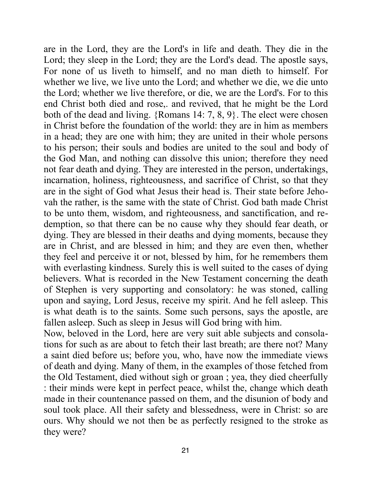are in the Lord, they are the Lord's in life and death. They die in the Lord; they sleep in the Lord; they are the Lord's dead. The apostle says, For none of us liveth to himself, and no man dieth to himself. For whether we live, we live unto the Lord; and whether we die, we die unto the Lord; whether we live therefore, or die, we are the Lord's. For to this end Christ both died and rose,. and revived, that he might be the Lord both of the dead and living. {Romans 14: 7, 8, 9}. The elect were chosen in Christ before the foundation of the world: they are in him as members in a head; they are one with him; they are united in their whole persons to his person; their souls and bodies are united to the soul and body of the God Man, and nothing can dissolve this union; therefore they need not fear death and dying. They are interested in the person, undertakings, incarnation, holiness, righteousness, and sacrifice of Christ, so that they are in the sight of God what Jesus their head is. Their state before Jehovah the rather, is the same with the state of Christ. God bath made Christ to be unto them, wisdom, and righteousness, and sanctification, and redemption, so that there can be no cause why they should fear death, or dying. They are blessed in their deaths and dying moments, because they are in Christ, and are blessed in him; and they are even then, whether they feel and perceive it or not, blessed by him, for he remembers them with everlasting kindness. Surely this is well suited to the cases of dying believers. What is recorded in the New Testament concerning the death of Stephen is very supporting and consolatory: he was stoned, calling upon and saying, Lord Jesus, receive my spirit. And he fell asleep. This is what death is to the saints. Some such persons, says the apostle, are fallen asleep. Such as sleep in Jesus will God bring with him.

Now, beloved in the Lord, here are very suit able subjects and consolations for such as are about to fetch their last breath; are there not? Many a saint died before us; before you, who, have now the immediate views of death and dying. Many of them, in the examples of those fetched from the Old Testament, died without sigh or groan ; yea, they died cheerfully : their minds were kept in perfect peace, whilst the, change which death made in their countenance passed on them, and the disunion of body and soul took place. All their safety and blessedness, were in Christ: so are ours. Why should we not then be as perfectly resigned to the stroke as they were?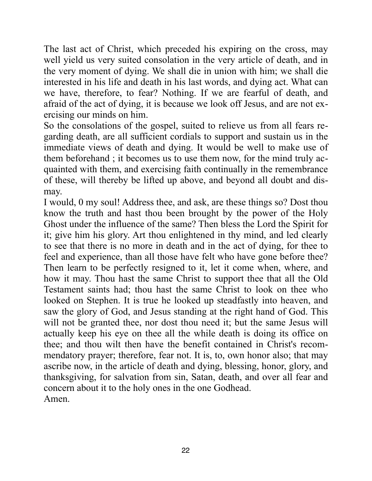The last act of Christ, which preceded his expiring on the cross, may well yield us very suited consolation in the very article of death, and in the very moment of dying. We shall die in union with him; we shall die interested in his life and death in his last words, and dying act. What can we have, therefore, to fear? Nothing. If we are fearful of death, and afraid of the act of dying, it is because we look off Jesus, and are not exercising our minds on him.

So the consolations of the gospel, suited to relieve us from all fears regarding death, are all sufficient cordials to support and sustain us in the immediate views of death and dying. It would be well to make use of them beforehand ; it becomes us to use them now, for the mind truly acquainted with them, and exercising faith continually in the remembrance of these, will thereby be lifted up above, and beyond all doubt and dismay.

I would, 0 my soul! Address thee, and ask, are these things so? Dost thou know the truth and hast thou been brought by the power of the Holy Ghost under the influence of the same? Then bless the Lord the Spirit for it; give him his glory. Art thou enlightened in thy mind, and led clearly to see that there is no more in death and in the act of dying, for thee to feel and experience, than all those have felt who have gone before thee? Then learn to be perfectly resigned to it, let it come when, where, and how it may. Thou hast the same Christ to support thee that all the Old Testament saints had; thou hast the same Christ to look on thee who looked on Stephen. It is true he looked up steadfastly into heaven, and saw the glory of God, and Jesus standing at the right hand of God. This will not be granted thee, nor dost thou need it; but the same Jesus will actually keep his eye on thee all the while death is doing its office on thee; and thou wilt then have the benefit contained in Christ's recommendatory prayer; therefore, fear not. It is, to, own honor also; that may ascribe now, in the article of death and dying, blessing, honor, glory, and thanksgiving, for salvation from sin, Satan, death, and over all fear and concern about it to the holy ones in the one Godhead. Amen.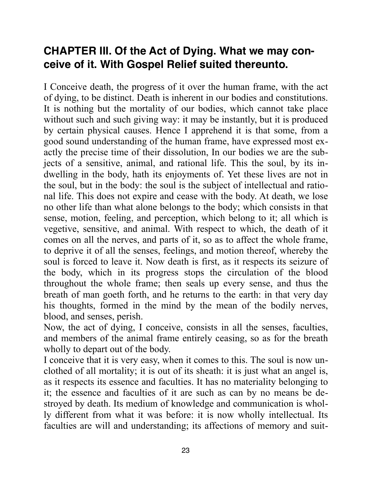### **CHAPTER III. Of the Act of Dying. What we may conceive of it. With Gospel Relief suited thereunto.**

I Conceive death, the progress of it over the human frame, with the act of dying, to be distinct. Death is inherent in our bodies and constitutions. It is nothing but the mortality of our bodies, which cannot take place without such and such giving way: it may be instantly, but it is produced by certain physical causes. Hence I apprehend it is that some, from a good sound understanding of the human frame, have expressed most exactly the precise time of their dissolution, In our bodies we are the subjects of a sensitive, animal, and rational life. This the soul, by its indwelling in the body, hath its enjoyments of. Yet these lives are not in the soul, but in the body: the soul is the subject of intellectual and rational life. This does not expire and cease with the body. At death, we lose no other life than what alone belongs to the body; which consists in that sense, motion, feeling, and perception, which belong to it; all which is vegetive, sensitive, and animal. With respect to which, the death of it comes on all the nerves, and parts of it, so as to affect the whole frame, to deprive it of all the senses, feelings, and motion thereof, whereby the soul is forced to leave it. Now death is first, as it respects its seizure of the body, which in its progress stops the circulation of the blood throughout the whole frame; then seals up every sense, and thus the breath of man goeth forth, and he returns to the earth: in that very day his thoughts, formed in the mind by the mean of the bodily nerves, blood, and senses, perish.

Now, the act of dying, I conceive, consists in all the senses, faculties, and members of the animal frame entirely ceasing, so as for the breath wholly to depart out of the body.

I conceive that it is very easy, when it comes to this. The soul is now unclothed of all mortality; it is out of its sheath: it is just what an angel is, as it respects its essence and faculties. It has no materiality belonging to it; the essence and faculties of it are such as can by no means be destroyed by death. Its medium of knowledge and communication is wholly different from what it was before: it is now wholly intellectual. Its faculties are will and understanding; its affections of memory and suit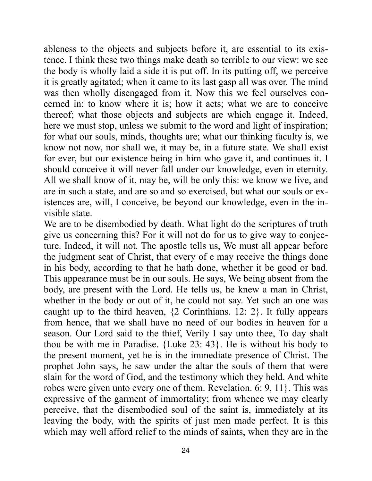ableness to the objects and subjects before it, are essential to its existence. I think these two things make death so terrible to our view: we see the body is wholly laid a side it is put off. In its putting off, we perceive it is greatly agitated; when it came to its last gasp all was over. The mind was then wholly disengaged from it. Now this we feel ourselves concerned in: to know where it is; how it acts; what we are to conceive thereof; what those objects and subjects are which engage it. Indeed, here we must stop, unless we submit to the word and light of inspiration; for what our souls, minds, thoughts are; what our thinking faculty is, we know not now, nor shall we, it may be, in a future state. We shall exist for ever, but our existence being in him who gave it, and continues it. I should conceive it will never fall under our knowledge, even in eternity. All we shall know of it, may be, will be only this: we know we live, and are in such a state, and are so and so exercised, but what our souls or existences are, will, I conceive, be beyond our knowledge, even in the invisible state.

We are to be disembodied by death. What light do the scriptures of truth give us concerning this? For it will not do for us to give way to conjecture. Indeed, it will not. The apostle tells us, We must all appear before the judgment seat of Christ, that every of e may receive the things done in his body, according to that he hath done, whether it be good or bad. This appearance must be in our souls. He says, We being absent from the body, are present with the Lord. He tells us, he knew a man in Christ, whether in the body or out of it, he could not say. Yet such an one was caught up to the third heaven, {2 Corinthians. 12: 2}. It fully appears from hence, that we shall have no need of our bodies in heaven for a season. Our Lord said to the thief, Verily I say unto thee, To day shalt thou be with me in Paradise. {Luke 23: 43}. He is without his body to the present moment, yet he is in the immediate presence of Christ. The prophet John says, he saw under the altar the souls of them that were slain for the word of God, and the testimony which they held. And white robes were given unto every one of them. Revelation. 6: 9, 11}. This was expressive of the garment of immortality; from whence we may clearly perceive, that the disembodied soul of the saint is, immediately at its leaving the body, with the spirits of just men made perfect. It is this which may well afford relief to the minds of saints, when they are in the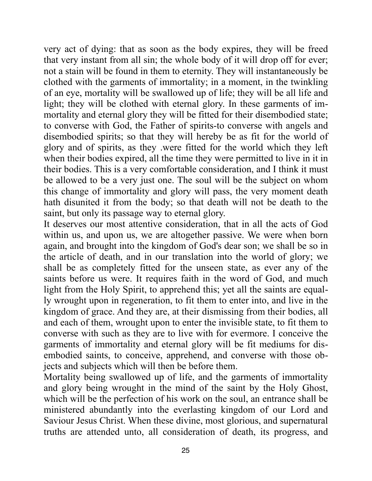very act of dying: that as soon as the body expires, they will be freed that very instant from all sin; the whole body of it will drop off for ever; not a stain will be found in them to eternity. They will instantaneously be clothed with the garments of immortality; in a moment, in the twinkling of an eye, mortality will be swallowed up of life; they will be all life and light; they will be clothed with eternal glory. In these garments of immortality and eternal glory they will be fitted for their disembodied state; to converse with God, the Father of spirits-to converse with angels and disembodied spirits; so that they will hereby be as fit for the world of glory and of spirits, as they .were fitted for the world which they left when their bodies expired, all the time they were permitted to live in it in their bodies. This is a very comfortable consideration, and I think it must be allowed to be a very just one. The soul will be the subject on whom this change of immortality and glory will pass, the very moment death hath disunited it from the body; so that death will not be death to the saint, but only its passage way to eternal glory.

It deserves our most attentive consideration, that in all the acts of God within us, and upon us, we are altogether passive. We were when born again, and brought into the kingdom of God's dear son; we shall be so in the article of death, and in our translation into the world of glory; we shall be as completely fitted for the unseen state, as ever any of the saints before us were. It requires faith in the word of God, and much light from the Holy Spirit, to apprehend this; yet all the saints are equally wrought upon in regeneration, to fit them to enter into, and live in the kingdom of grace. And they are, at their dismissing from their bodies, all and each of them, wrought upon to enter the invisible state, to fit them to converse with such as they are to live with for evermore. I conceive the garments of immortality and eternal glory will be fit mediums for disembodied saints, to conceive, apprehend, and converse with those objects and subjects which will then be before them.

Mortality being swallowed up of life, and the garments of immortality and glory being wrought in the mind of the saint by the Holy Ghost, which will be the perfection of his work on the soul, an entrance shall be ministered abundantly into the everlasting kingdom of our Lord and Saviour Jesus Christ. When these divine, most glorious, and supernatural truths are attended unto, all consideration of death, its progress, and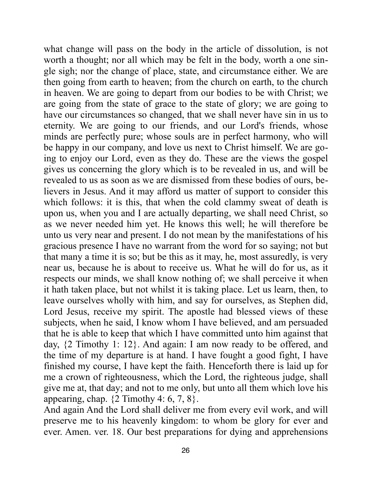what change will pass on the body in the article of dissolution, is not worth a thought; nor all which may be felt in the body, worth a one single sigh; nor the change of place, state, and circumstance either. We are then going from earth to heaven; from the church on earth, to the church in heaven. We are going to depart from our bodies to be with Christ; we are going from the state of grace to the state of glory; we are going to have our circumstances so changed, that we shall never have sin in us to eternity. We are going to our friends, and our Lord's friends, whose minds are perfectly pure; whose souls are in perfect harmony, who will be happy in our company, and love us next to Christ himself. We are going to enjoy our Lord, even as they do. These are the views the gospel gives us concerning the glory which is to be revealed in us, and will be revealed to us as soon as we are dismissed from these bodies of ours, believers in Jesus. And it may afford us matter of support to consider this which follows: it is this, that when the cold clammy sweat of death is upon us, when you and I are actually departing, we shall need Christ, so as we never needed him yet. He knows this well; he will therefore be unto us very near and present. I do not mean by the manifestations of his gracious presence I have no warrant from the word for so saying; not but that many a time it is so; but be this as it may, he, most assuredly, is very near us, because he is about to receive us. What he will do for us, as it respects our minds, we shall know nothing of; we shall perceive it when it hath taken place, but not whilst it is taking place. Let us learn, then, to leave ourselves wholly with him, and say for ourselves, as Stephen did, Lord Jesus, receive my spirit. The apostle had blessed views of these subjects, when he said, I know whom I have believed, and am persuaded that he is able to keep that which I have committed unto him against that day, {2 Timothy 1: 12}. And again: I am now ready to be offered, and the time of my departure is at hand. I have fought a good fight, I have finished my course, I have kept the faith. Henceforth there is laid up for me a crown of righteousness, which the Lord, the righteous judge, shall give me at, that day; and not to me only, but unto all them which love his appearing, chap.  $\{2 \text{ Timothy } 4: 6, 7, 8\}.$ 

And again And the Lord shall deliver me from every evil work, and will preserve me to his heavenly kingdom: to whom be glory for ever and ever. Amen. ver. 18. Our best preparations for dying and apprehensions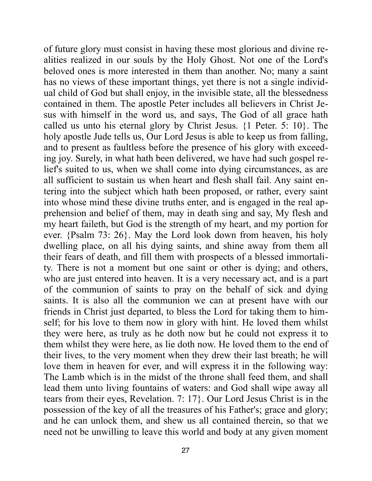of future glory must consist in having these most glorious and divine realities realized in our souls by the Holy Ghost. Not one of the Lord's beloved ones is more interested in them than another. No; many a saint has no views of these important things, yet there is not a single individual child of God but shall enjoy, in the invisible state, all the blessedness contained in them. The apostle Peter includes all believers in Christ Jesus with himself in the word us, and says, The God of all grace hath called us unto his eternal glory by Christ Jesus. {1 Peter. 5: 10}. The holy apostle Jude tells us, Our Lord Jesus is able to keep us from falling, and to present as faultless before the presence of his glory with exceeding joy. Surely, in what hath been delivered, we have had such gospel relief's suited to us, when we shall come into dying circumstances, as are all sufficient to sustain us when heart and flesh shall fail. Any saint entering into the subject which hath been proposed, or rather, every saint into whose mind these divine truths enter, and is engaged in the real apprehension and belief of them, may in death sing and say, My flesh and my heart faileth, but God is the strength of my heart, and my portion for ever. {Psalm 73: 26}. May the Lord look down from heaven, his holy dwelling place, on all his dying saints, and shine away from them all their fears of death, and fill them with prospects of a blessed immortality. There is not a moment but one saint or other is dying; and others, who are just entered into heaven. It is a very necessary act, and is a part of the communion of saints to pray on the behalf of sick and dying saints. It is also all the communion we can at present have with our friends in Christ just departed, to bless the Lord for taking them to himself; for his love to them now in glory with hint. He loved them whilst they were here, as truly as he doth now but he could not express it to them whilst they were here, as lie doth now. He loved them to the end of their lives, to the very moment when they drew their last breath; he will love them in heaven for ever, and will express it in the following way: The Lamb which is in the midst of the throne shall feed them, and shall lead them unto living fountains of waters: and God shall wipe away all tears from their eyes, Revelation. 7: 17}. Our Lord Jesus Christ is in the possession of the key of all the treasures of his Father's; grace and glory; and he can unlock them, and shew us all contained therein, so that we need not be unwilling to leave this world and body at any given moment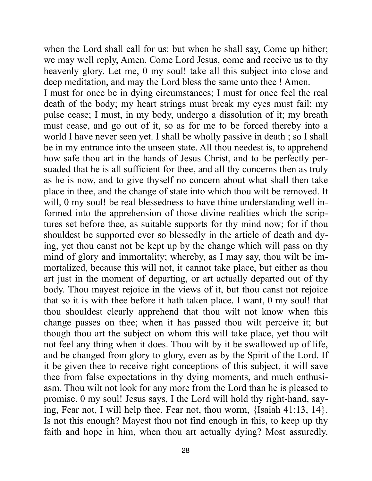when the Lord shall call for us: but when he shall say, Come up hither; we may well reply, Amen. Come Lord Jesus, come and receive us to thy heavenly glory. Let me, 0 my soul! take all this subject into close and deep meditation, and may the Lord bless the same unto thee ! Amen.

I must for once be in dying circumstances; I must for once feel the real death of the body; my heart strings must break my eyes must fail; my pulse cease; I must, in my body, undergo a dissolution of it; my breath must cease, and go out of it, so as for me to be forced thereby into a world I have never seen yet. I shall be wholly passive in death ; so I shall be in my entrance into the unseen state. All thou needest is, to apprehend how safe thou art in the hands of Jesus Christ, and to be perfectly persuaded that he is all sufficient for thee, and all thy concerns then as truly as he is now, and to give thyself no concern about what shall then take place in thee, and the change of state into which thou wilt be removed. It will, 0 my soul! be real blessedness to have thine understanding well informed into the apprehension of those divine realities which the scriptures set before thee, as suitable supports for thy mind now; for if thou shouldest be supported ever so blessedly in the article of death and dying, yet thou canst not be kept up by the change which will pass on thy mind of glory and immortality; whereby, as I may say, thou wilt be immortalized, because this will not, it cannot take place, but either as thou art just in the moment of departing, or art actually departed out of thy body. Thou mayest rejoice in the views of it, but thou canst not rejoice that so it is with thee before it hath taken place. I want, 0 my soul! that thou shouldest clearly apprehend that thou wilt not know when this change passes on thee; when it has passed thou wilt perceive it; but though thou art the subject on whom this will take place, yet thou wilt not feel any thing when it does. Thou wilt by it be swallowed up of life, and be changed from glory to glory, even as by the Spirit of the Lord. If it be given thee to receive right conceptions of this subject, it will save thee from false expectations in thy dying moments, and much enthusiasm. Thou wilt not look for any more from the Lord than he is pleased to promise. 0 my soul! Jesus says, I the Lord will hold thy right-hand, saying, Fear not, I will help thee. Fear not, thou worm, {Isaiah 41:13, 14}. Is not this enough? Mayest thou not find enough in this, to keep up thy faith and hope in him, when thou art actually dying? Most assuredly.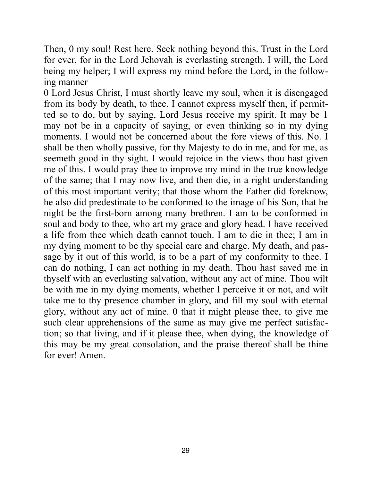Then, 0 my soul! Rest here. Seek nothing beyond this. Trust in the Lord for ever, for in the Lord Jehovah is everlasting strength. I will, the Lord being my helper; I will express my mind before the Lord, in the following manner

0 Lord Jesus Christ, I must shortly leave my soul, when it is disengaged from its body by death, to thee. I cannot express myself then, if permitted so to do, but by saying, Lord Jesus receive my spirit. It may be 1 may not be in a capacity of saying, or even thinking so in my dying moments. I would not be concerned about the fore views of this. No. I shall be then wholly passive, for thy Majesty to do in me, and for me, as seemeth good in thy sight. I would rejoice in the views thou hast given me of this. I would pray thee to improve my mind in the true knowledge of the same; that I may now live, and then die, in a right understanding of this most important verity; that those whom the Father did foreknow, he also did predestinate to be conformed to the image of his Son, that he night be the first-born among many brethren. I am to be conformed in soul and body to thee, who art my grace and glory head. I have received a life from thee which death cannot touch. I am to die in thee; I am in my dying moment to be thy special care and charge. My death, and passage by it out of this world, is to be a part of my conformity to thee. I can do nothing, I can act nothing in my death. Thou hast saved me in thyself with an everlasting salvation, without any act of mine. Thou wilt be with me in my dying moments, whether I perceive it or not, and wilt take me to thy presence chamber in glory, and fill my soul with eternal glory, without any act of mine. 0 that it might please thee, to give me such clear apprehensions of the same as may give me perfect satisfaction; so that living, and if it please thee, when dying, the knowledge of this may be my great consolation, and the praise thereof shall be thine for ever! Amen.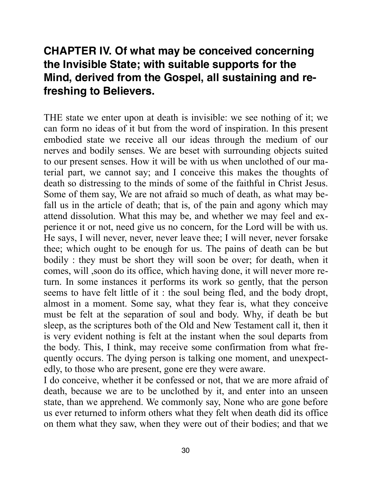# **CHAPTER IV. Of what may be conceived concerning the Invisible State; with suitable supports for the Mind, derived from the Gospel, all sustaining and refreshing to Believers.**

THE state we enter upon at death is invisible: we see nothing of it; we can form no ideas of it but from the word of inspiration. In this present embodied state we receive all our ideas through the medium of our nerves and bodily senses. We are beset with surrounding objects suited to our present senses. How it will be with us when unclothed of our material part, we cannot say; and I conceive this makes the thoughts of death so distressing to the minds of some of the faithful in Christ Jesus. Some of them say, We are not afraid so much of death, as what may befall us in the article of death; that is, of the pain and agony which may attend dissolution. What this may be, and whether we may feel and experience it or not, need give us no concern, for the Lord will be with us. He says, I will never, never, never leave thee; I will never, never forsake thee; which ought to be enough for us. The pains of death can be but bodily : they must be short they will soon be over; for death, when it comes, will ,soon do its office, which having done, it will never more return. In some instances it performs its work so gently, that the person seems to have felt little of it : the soul being fled, and the body dropt, almost in a moment. Some say, what they fear is, what they conceive must be felt at the separation of soul and body. Why, if death be but sleep, as the scriptures both of the Old and New Testament call it, then it is very evident nothing is felt at the instant when the soul departs from the body. This, I think, may receive some confirmation from what frequently occurs. The dying person is talking one moment, and unexpectedly, to those who are present, gone ere they were aware.

I do conceive, whether it be confessed or not, that we are more afraid of death, because we are to be unclothed by it, and enter into an unseen state, than we apprehend. We commonly say, None who are gone before us ever returned to inform others what they felt when death did its office on them what they saw, when they were out of their bodies; and that we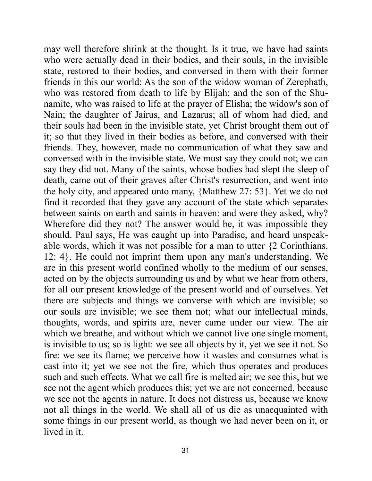may well therefore shrink at the thought. Is it true, we have had saints who were actually dead in their bodies, and their souls, in the invisible state, restored to their bodies, and conversed in them with their former friends in this our world: As the son of the widow woman of Zerephath, who was restored from death to life by Elijah; and the son of the Shunamite, who was raised to life at the prayer of Elisha; the widow's son of Nain; the daughter of Jairus, and Lazarus; all of whom had died, and their souls had been in the invisible state, yet Christ brought them out of it; so that they lived in their bodies as before, and conversed with their friends. They, however, made no communication of what they saw and conversed with in the invisible state. We must say they could not; we can say they did not. Many of the saints, whose bodies had slept the sleep of death, came out of their graves after Christ's resurrection, and went into the holy city, and appeared unto many, {Matthew 27: 53}. Yet we do not find it recorded that they gave any account of the state which separates between saints on earth and saints in heaven: and were they asked, why? Wherefore did they not? The answer would be, it was impossible they should. Paul says, He was caught up into Paradise, and heard unspeakable words, which it was not possible for a man to utter {2 Corinthians. 12: 4}. He could not imprint them upon any man's understanding. We are in this present world confined wholly to the medium of our senses, acted on by the objects surrounding us and by what we hear from others, for all our present knowledge of the present world and of ourselves. Yet there are subjects and things we converse with which are invisible; so our souls are invisible; we see them not; what our intellectual minds, thoughts, words, and spirits are, never came under our view. The air which we breathe, and without which we cannot live one single moment, is invisible to us; so is light: we see all objects by it, yet we see it not. So fire: we see its flame; we perceive how it wastes and consumes what is cast into it; yet we see not the fire, which thus operates and produces such and such effects. What we call fire is melted air; we see this, but we see not the agent which produces this; yet we are not concerned, because we see not the agents in nature. It does not distress us, because we know not all things in the world. We shall all of us die as unacquainted with some things in our present world, as though we had never been on it, or lived in it.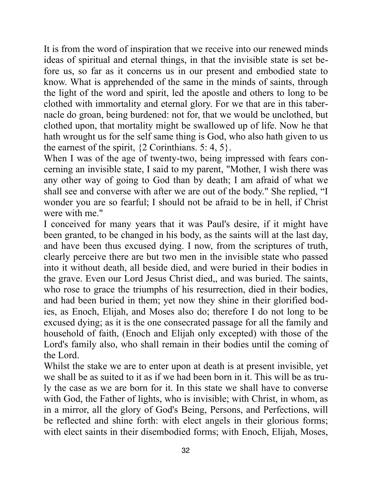It is from the word of inspiration that we receive into our renewed minds ideas of spiritual and eternal things, in that the invisible state is set before us, so far as it concerns us in our present and embodied state to know. What is apprehended of the same in the minds of saints, through the light of the word and spirit, led the apostle and others to long to be clothed with immortality and eternal glory. For we that are in this tabernacle do groan, being burdened: not for, that we would be unclothed, but clothed upon, that mortality might be swallowed up of life. Now he that hath wrought us for the self same thing is God, who also hath given to us the earnest of the spirit,  $\{2 \text{ Corinthians. } 5: 4, 5\}.$ 

When I was of the age of twenty-two, being impressed with fears concerning an invisible state, I said to my parent, "Mother, I wish there was any other way of going to God than by death; I am afraid of what we shall see and converse with after we are out of the body." She replied, "I wonder you are so fearful; I should not be afraid to be in hell, if Christ were with me."

I conceived for many years that it was Paul's desire, if it might have been granted, to be changed in his body, as the saints will at the last day, and have been thus excused dying. I now, from the scriptures of truth, clearly perceive there are but two men in the invisible state who passed into it without death, all beside died, and were buried in their bodies in the grave. Even our Lord Jesus Christ died,, and was buried. The saints, who rose to grace the triumphs of his resurrection, died in their bodies, and had been buried in them; yet now they shine in their glorified bodies, as Enoch, Elijah, and Moses also do; therefore I do not long to be excused dying; as it is the one consecrated passage for all the family and household of faith, (Enoch and Elijah only excepted) with those of the Lord's family also, who shall remain in their bodies until the coming of the Lord.

Whilst the stake we are to enter upon at death is at present invisible, yet we shall be as suited to it as if we had been born in it. This will be as truly the case as we are born for it. In this state we shall have to converse with God, the Father of lights, who is invisible; with Christ, in whom, as in a mirror, all the glory of God's Being, Persons, and Perfections, will be reflected and shine forth: with elect angels in their glorious forms; with elect saints in their disembodied forms; with Enoch, Elijah, Moses,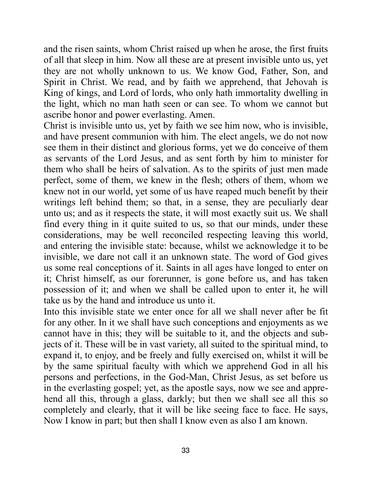and the risen saints, whom Christ raised up when he arose, the first fruits of all that sleep in him. Now all these are at present invisible unto us, yet they are not wholly unknown to us. We know God, Father, Son, and Spirit in Christ. We read, and by faith we apprehend, that Jehovah is King of kings, and Lord of lords, who only hath immortality dwelling in the light, which no man hath seen or can see. To whom we cannot but ascribe honor and power everlasting. Amen.

Christ is invisible unto us, yet by faith we see him now, who is invisible, and have present communion with him. The elect angels, we do not now see them in their distinct and glorious forms, yet we do conceive of them as servants of the Lord Jesus, and as sent forth by him to minister for them who shall be heirs of salvation. As to the spirits of just men made perfect, some of them, we knew in the flesh; others of them, whom we knew not in our world, yet some of us have reaped much benefit by their writings left behind them; so that, in a sense, they are peculiarly dear unto us; and as it respects the state, it will most exactly suit us. We shall find every thing in it quite suited to us, so that our minds, under these considerations, may be well reconciled respecting leaving this world, and entering the invisible state: because, whilst we acknowledge it to be invisible, we dare not call it an unknown state. The word of God gives us some real conceptions of it. Saints in all ages have longed to enter on it; Christ himself, as our forerunner, is gone before us, and has taken possession of it; and when we shall be called upon to enter it, he will take us by the hand and introduce us unto it.

Into this invisible state we enter once for all we shall never after be fit for any other. In it we shall have such conceptions and enjoyments as we cannot have in this; they will be suitable to it, and the objects and subjects of it. These will be in vast variety, all suited to the spiritual mind, to expand it, to enjoy, and be freely and fully exercised on, whilst it will be by the same spiritual faculty with which we apprehend God in all his persons and perfections, in the God-Man, Christ Jesus, as set before us in the everlasting gospel; yet, as the apostle says, now we see and apprehend all this, through a glass, darkly; but then we shall see all this so completely and clearly, that it will be like seeing face to face. He says, Now I know in part; but then shall I know even as also I am known.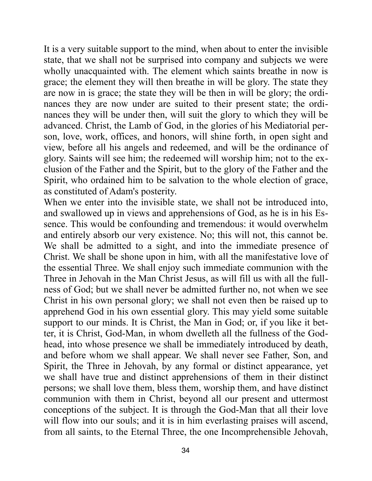It is a very suitable support to the mind, when about to enter the invisible state, that we shall not be surprised into company and subjects we were wholly unacquainted with. The element which saints breathe in now is grace; the element they will then breathe in will be glory. The state they are now in is grace; the state they will be then in will be glory; the ordinances they are now under are suited to their present state; the ordinances they will be under then, will suit the glory to which they will be advanced. Christ, the Lamb of God, in the glories of his Mediatorial person, love, work, offices, and honors, will shine forth, in open sight and view, before all his angels and redeemed, and will be the ordinance of glory. Saints will see him; the redeemed will worship him; not to the exclusion of the Father and the Spirit, but to the glory of the Father and the Spirit, who ordained him to be salvation to the whole election of grace, as constituted of Adam's posterity.

When we enter into the invisible state, we shall not be introduced into, and swallowed up in views and apprehensions of God, as he is in his Essence. This would be confounding and tremendous: it would overwhelm and entirely absorb our very existence. No; this will not, this cannot be. We shall be admitted to a sight, and into the immediate presence of Christ. We shall be shone upon in him, with all the manifestative love of the essential Three. We shall enjoy such immediate communion with the Three in Jehovah in the Man Christ Jesus, as will fill us with all the fullness of God; but we shall never be admitted further no, not when we see Christ in his own personal glory; we shall not even then be raised up to apprehend God in his own essential glory. This may yield some suitable support to our minds. It is Christ, the Man in God; or, if you like it better, it is Christ, God-Man, in whom dwelleth all the fullness of the Godhead, into whose presence we shall be immediately introduced by death, and before whom we shall appear. We shall never see Father, Son, and Spirit, the Three in Jehovah, by any formal or distinct appearance, yet we shall have true and distinct apprehensions of them in their distinct persons; we shall love them, bless them, worship them, and have distinct communion with them in Christ, beyond all our present and uttermost conceptions of the subject. It is through the God-Man that all their love will flow into our souls; and it is in him everlasting praises will ascend, from all saints, to the Eternal Three, the one Incomprehensible Jehovah,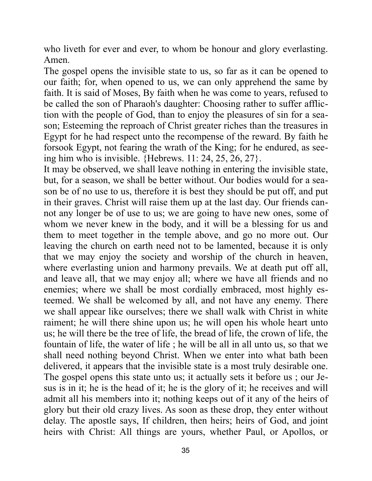who liveth for ever and ever, to whom be honour and glory everlasting. Amen.

The gospel opens the invisible state to us, so far as it can be opened to our faith; for, when opened to us, we can only apprehend the same by faith. It is said of Moses, By faith when he was come to years, refused to be called the son of Pharaoh's daughter: Choosing rather to suffer affliction with the people of God, than to enjoy the pleasures of sin for a season; Esteeming the reproach of Christ greater riches than the treasures in Egypt for he had respect unto the recompense of the reward. By faith he forsook Egypt, not fearing the wrath of the King; for he endured, as seeing him who is invisible. {Hebrews. 11: 24, 25, 26, 27}.

It may be observed, we shall leave nothing in entering the invisible state, but, for a season, we shall be better without. Our bodies would for a season be of no use to us, therefore it is best they should be put off, and put in their graves. Christ will raise them up at the last day. Our friends cannot any longer be of use to us; we are going to have new ones, some of whom we never knew in the body, and it will be a blessing for us and them to meet together in the temple above, and go no more out. Our leaving the church on earth need not to be lamented, because it is only that we may enjoy the society and worship of the church in heaven, where everlasting union and harmony prevails. We at death put off all, and leave all, that we may enjoy all; where we have all friends and no enemies; where we shall be most cordially embraced, most highly esteemed. We shall be welcomed by all, and not have any enemy. There we shall appear like ourselves; there we shall walk with Christ in white raiment; he will there shine upon us; he will open his whole heart unto us; he will there be the tree of life, the bread of life, the crown of life, the fountain of life, the water of life ; he will be all in all unto us, so that we shall need nothing beyond Christ. When we enter into what bath been delivered, it appears that the invisible state is a most truly desirable one. The gospel opens this state unto us; it actually sets it before us ; our Jesus is in it; he is the head of it; he is the glory of it; he receives and will admit all his members into it; nothing keeps out of it any of the heirs of glory but their old crazy lives. As soon as these drop, they enter without delay. The apostle says, If children, then heirs; heirs of God, and joint heirs with Christ: All things are yours, whether Paul, or Apollos, or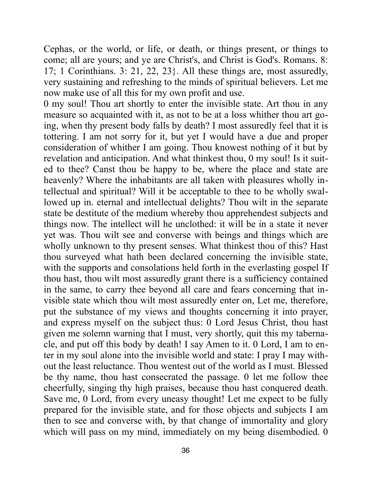Cephas, or the world, or life, or death, or things present, or things to come; all are yours; and ye are Christ's, and Christ is God's. Romans. 8: 17; 1 Corinthians. 3: 21, 22, 23}. All these things are, most assuredly, very sustaining and refreshing to the minds of spiritual believers. Let me now make use of all this for my own profit and use.

0 my soul! Thou art shortly to enter the invisible state. Art thou in any measure so acquainted with it, as not to be at a loss whither thou art going, when thy present body falls by death? I most assuredly feel that it is tottering. I am not sorry for it, but yet I would have a due and proper consideration of whither I am going. Thou knowest nothing of it but by revelation and anticipation. And what thinkest thou, 0 my soul! Is it suited to thee? Canst thou be happy to be, where the place and state are heavenly? Where the inhabitants are all taken with pleasures wholly intellectual and spiritual? Will it be acceptable to thee to be wholly swallowed up in. eternal and intellectual delights? Thou wilt in the separate state be destitute of the medium whereby thou apprehendest subjects and things now. The intellect will he unclothed: it will be in a state it never yet was. Thou wilt see and converse with beings and things which are wholly unknown to thy present senses. What thinkest thou of this? Hast thou surveyed what hath been declared concerning the invisible state, with the supports and consolations held forth in the everlasting gospel If thou hast, thou wilt most assuredly grant there is a sufficiency contained in the same, to carry thee beyond all care and fears concerning that invisible state which thou wilt most assuredly enter on, Let me, therefore, put the substance of my views and thoughts concerning it into prayer, and express myself on the subject thus: 0 Lord Jesus Christ, thou hast given me solemn warning that I must, very shortly, quit this my tabernacle, and put off this body by death! I say Amen to it. 0 Lord, I am to enter in my soul alone into the invisible world and state: I pray I may without the least reluctance. Thou wentest out of the world as I must. Blessed be thy name, thou hast consecrated the passage. 0 let me follow thee cheerfully, singing thy high praises, because thou hast conquered death. Save me, 0 Lord, from every uneasy thought! Let me expect to be fully prepared for the invisible state, and for those objects and subjects I am then to see and converse with, by that change of immortality and glory which will pass on my mind, immediately on my being disembodied. 0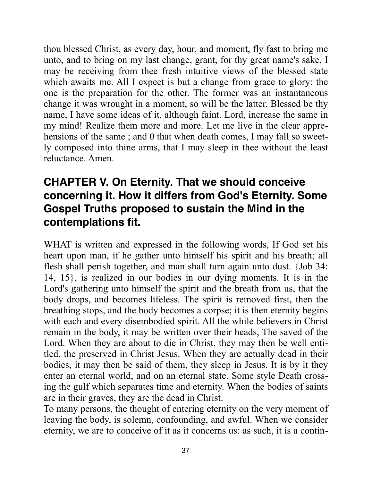thou blessed Christ, as every day, hour, and moment, fly fast to bring me unto, and to bring on my last change, grant, for thy great name's sake, I may be receiving from thee fresh intuitive views of the blessed state which awaits me. All I expect is but a change from grace to glory: the one is the preparation for the other. The former was an instantaneous change it was wrought in a moment, so will be the latter. Blessed be thy name, I have some ideas of it, although faint. Lord, increase the same in my mind! Realize them more and more. Let me live in the clear apprehensions of the same; and 0 that when death comes, I may fall so sweetly composed into thine arms, that I may sleep in thee without the least reluctance. Amen.

# **CHAPTER V. On Eternity. That we should conceive concerning it. How it differs from God's Eternity. Some Gospel Truths proposed to sustain the Mind in the contemplations fit.**

WHAT is written and expressed in the following words, If God set his heart upon man, if he gather unto himself his spirit and his breath; all flesh shall perish together, and man shall turn again unto dust. {Job 34: 14, 15}, is realized in our bodies in our dying moments. It is in the Lord's gathering unto himself the spirit and the breath from us, that the body drops, and becomes lifeless. The spirit is removed first, then the breathing stops, and the body becomes a corpse; it is then eternity begins with each and every disembodied spirit. All the while believers in Christ remain in the body, it may be written over their heads, The saved of the Lord. When they are about to die in Christ, they may then be well entitled, the preserved in Christ Jesus. When they are actually dead in their bodies, it may then be said of them, they sleep in Jesus. It is by it they enter an eternal world, and on an eternal state. Some style Death crossing the gulf which separates time and eternity. When the bodies of saints are in their graves, they are the dead in Christ.

To many persons, the thought of entering eternity on the very moment of leaving the body, is solemn, confounding, and awful. When we consider eternity, we are to conceive of it as it concerns us: as such, it is a contin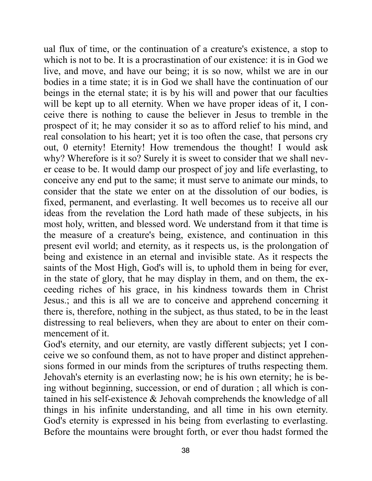ual flux of time, or the continuation of a creature's existence, a stop to which is not to be. It is a procrastination of our existence: it is in God we live, and move, and have our being; it is so now, whilst we are in our bodies in a time state; it is in God we shall have the continuation of our beings in the eternal state; it is by his will and power that our faculties will be kept up to all eternity. When we have proper ideas of it, I conceive there is nothing to cause the believer in Jesus to tremble in the prospect of it; he may consider it so as to afford relief to his mind, and real consolation to his heart; yet it is too often the case, that persons cry out, 0 eternity! Eternity! How tremendous the thought! I would ask why? Wherefore is it so? Surely it is sweet to consider that we shall never cease to be. It would damp our prospect of joy and life everlasting, to conceive any end put to the same; it must serve to animate our minds, to consider that the state we enter on at the dissolution of our bodies, is fixed, permanent, and everlasting. It well becomes us to receive all our ideas from the revelation the Lord hath made of these subjects, in his most holy, written, and blessed word. We understand from it that time is the measure of a creature's being, existence, and continuation in this present evil world; and eternity, as it respects us, is the prolongation of being and existence in an eternal and invisible state. As it respects the saints of the Most High, God's will is, to uphold them in being for ever, in the state of glory, that he may display in them, and on them, the exceeding riches of his grace, in his kindness towards them in Christ Jesus.; and this is all we are to conceive and apprehend concerning it there is, therefore, nothing in the subject, as thus stated, to be in the least distressing to real believers, when they are about to enter on their commencement of it.

God's eternity, and our eternity, are vastly different subjects; yet I conceive we so confound them, as not to have proper and distinct apprehensions formed in our minds from the scriptures of truths respecting them. Jehovah's eternity is an everlasting now; he is his own eternity; he is being without beginning, succession, or end of duration ; all which is contained in his self-existence & Jehovah comprehends the knowledge of all things in his infinite understanding, and all time in his own eternity. God's eternity is expressed in his being from everlasting to everlasting. Before the mountains were brought forth, or ever thou hadst formed the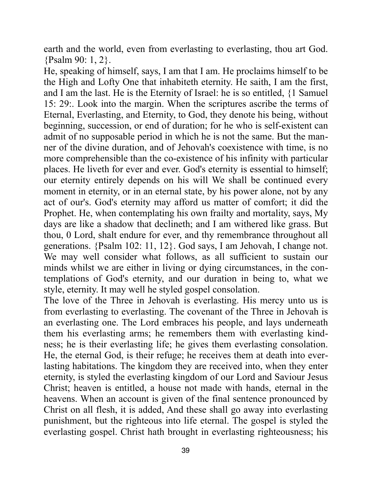earth and the world, even from everlasting to everlasting, thou art God. {Psalm 90: 1, 2}.

He, speaking of himself, says, I am that I am. He proclaims himself to be the High and Lofty One that inhabiteth eternity. He saith, I am the first, and I am the last. He is the Eternity of Israel: he is so entitled, {1 Samuel 15: 29:. Look into the margin. When the scriptures ascribe the terms of Eternal, Everlasting, and Eternity, to God, they denote his being, without beginning, succession, or end of duration; for he who is self-existent can admit of no supposable period in which he is not the same. But the manner of the divine duration, and of Jehovah's coexistence with time, is no more comprehensible than the co-existence of his infinity with particular places. He liveth for ever and ever. God's eternity is essential to himself; our eternity entirely depends on his will We shall be continued every moment in eternity, or in an eternal state, by his power alone, not by any act of our's. God's eternity may afford us matter of comfort; it did the Prophet. He, when contemplating his own frailty and mortality, says, My days are like a shadow that declineth; and I am withered like grass. But thou, 0 Lord, shalt endure for ever, and thy remembrance throughout all generations. {Psalm 102: 11, 12}. God says, I am Jehovah, I change not. We may well consider what follows, as all sufficient to sustain our minds whilst we are either in living or dying circumstances, in the contemplations of God's eternity, and our duration in being to, what we style, eternity. It may well he styled gospel consolation.

The love of the Three in Jehovah is everlasting. His mercy unto us is from everlasting to everlasting. The covenant of the Three in Jehovah is an everlasting one. The Lord embraces his people, and lays underneath them his everlasting arms; he remembers them with everlasting kindness; he is their everlasting life; he gives them everlasting consolation. He, the eternal God, is their refuge; he receives them at death into everlasting habitations. The kingdom they are received into, when they enter eternity, is styled the everlasting kingdom of our Lord and Saviour Jesus Christ; heaven is entitled, a house not made with hands, eternal in the heavens. When an account is given of the final sentence pronounced by Christ on all flesh, it is added, And these shall go away into everlasting punishment, but the righteous into life eternal. The gospel is styled the everlasting gospel. Christ hath brought in everlasting righteousness; his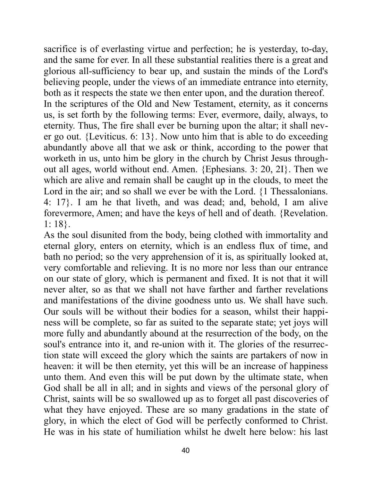sacrifice is of everlasting virtue and perfection; he is yesterday, to-day, and the same for ever. In all these substantial realities there is a great and glorious all-sufficiency to bear up, and sustain the minds of the Lord's believing people, under the views of an immediate entrance into eternity, both as it respects the state we then enter upon, and the duration thereof. In the scriptures of the Old and New Testament, eternity, as it concerns us, is set forth by the following terms: Ever, evermore, daily, always, to eternity. Thus, The fire shall ever be burning upon the altar; it shall never go out. {Leviticus. 6: 13}. Now unto him that is able to do exceeding abundantly above all that we ask or think, according to the power that worketh in us, unto him be glory in the church by Christ Jesus throughout all ages, world without end. Amen. {Ephesians. 3: 20, 2I}. Then we which are alive and remain shall be caught up in the clouds, to meet the Lord in the air; and so shall we ever be with the Lord. {1 Thessalonians. 4: 17}. I am he that liveth, and was dead; and, behold, I am alive forevermore, Amen; and have the keys of hell and of death. {Revelation. 1: 18}.

As the soul disunited from the body, being clothed with immortality and eternal glory, enters on eternity, which is an endless flux of time, and bath no period; so the very apprehension of it is, as spiritually looked at, very comfortable and relieving. It is no more nor less than our entrance on our state of glory, which is permanent and fixed. It is not that it will never alter, so as that we shall not have farther and farther revelations and manifestations of the divine goodness unto us. We shall have such. Our souls will be without their bodies for a season, whilst their happiness will be complete, so far as suited to the separate state; yet joys will more fully and abundantly abound at the resurrection of the body, on the soul's entrance into it, and re-union with it. The glories of the resurrection state will exceed the glory which the saints are partakers of now in heaven: it will be then eternity, yet this will be an increase of happiness unto them. And even this will be put down by the ultimate state, when God shall be all in all; and in sights and views of the personal glory of Christ, saints will be so swallowed up as to forget all past discoveries of what they have enjoyed. These are so many gradations in the state of glory, in which the elect of God will be perfectly conformed to Christ. He was in his state of humiliation whilst he dwelt here below: his last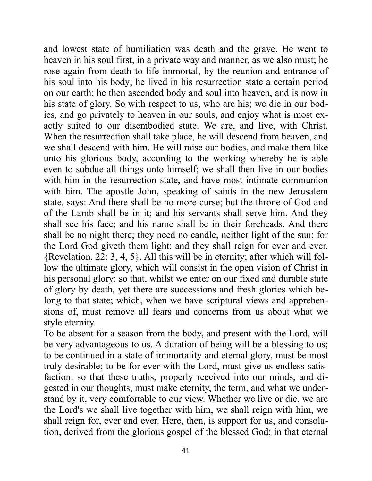and lowest state of humiliation was death and the grave. He went to heaven in his soul first, in a private way and manner, as we also must; he rose again from death to life immortal, by the reunion and entrance of his soul into his body; he lived in his resurrection state a certain period on our earth; he then ascended body and soul into heaven, and is now in his state of glory. So with respect to us, who are his; we die in our bodies, and go privately to heaven in our souls, and enjoy what is most exactly suited to our disembodied state. We are, and live, with Christ. When the resurrection shall take place, he will descend from heaven, and we shall descend with him. He will raise our bodies, and make them like unto his glorious body, according to the working whereby he is able even to subdue all things unto himself; we shall then live in our bodies with him in the resurrection state, and have most intimate communion with him. The apostle John, speaking of saints in the new Jerusalem state, says: And there shall be no more curse; but the throne of God and of the Lamb shall be in it; and his servants shall serve him. And they shall see his face; and his name shall be in their foreheads. And there shall be no night there; they need no candle, neither light of the sun; for the Lord God giveth them light: and they shall reign for ever and ever. {Revelation. 22: 3, 4, 5}. All this will be in eternity; after which will follow the ultimate glory, which will consist in the open vision of Christ in his personal glory: so that, whilst we enter on our fixed and durable state of glory by death, yet there are successions and fresh glories which belong to that state; which, when we have scriptural views and apprehensions of, must remove all fears and concerns from us about what we style eternity.

To be absent for a season from the body, and present with the Lord, will be very advantageous to us. A duration of being will be a blessing to us; to be continued in a state of immortality and eternal glory, must be most truly desirable; to be for ever with the Lord, must give us endless satisfaction: so that these truths, properly received into our minds, and digested in our thoughts, must make eternity, the term, and what we understand by it, very comfortable to our view. Whether we live or die, we are the Lord's we shall live together with him, we shall reign with him, we shall reign for, ever and ever. Here, then, is support for us, and consolation, derived from the glorious gospel of the blessed God; in that eternal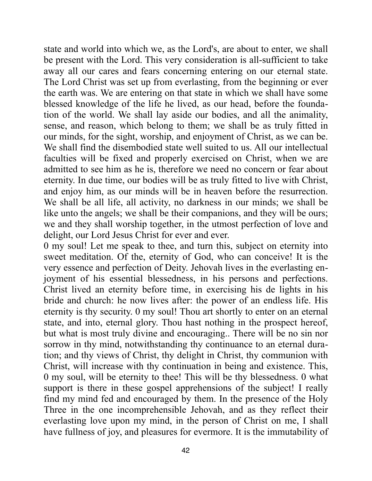state and world into which we, as the Lord's, are about to enter, we shall be present with the Lord. This very consideration is all-sufficient to take away all our cares and fears concerning entering on our eternal state. The Lord Christ was set up from everlasting, from the beginning or ever the earth was. We are entering on that state in which we shall have some blessed knowledge of the life he lived, as our head, before the foundation of the world. We shall lay aside our bodies, and all the animality, sense, and reason, which belong to them; we shall be as truly fitted in our minds, for the sight, worship, and enjoyment of Christ, as we can be. We shall find the disembodied state well suited to us. All our intellectual faculties will be fixed and properly exercised on Christ, when we are admitted to see him as he is, therefore we need no concern or fear about eternity. In due time, our bodies will be as truly fitted to live with Christ, and enjoy him, as our minds will be in heaven before the resurrection. We shall be all life, all activity, no darkness in our minds; we shall be like unto the angels; we shall be their companions, and they will be ours; we and they shall worship together, in the utmost perfection of love and delight, our Lord Jesus Christ for ever and ever.

0 my soul! Let me speak to thee, and turn this, subject on eternity into sweet meditation. Of the, eternity of God, who can conceive! It is the very essence and perfection of Deity. Jehovah lives in the everlasting enjoyment of his essential blessedness, in his persons and perfections. Christ lived an eternity before time, in exercising his de lights in his bride and church: he now lives after: the power of an endless life. His eternity is thy security. 0 my soul! Thou art shortly to enter on an eternal state, and into, eternal glory. Thou hast nothing in the prospect hereof, but what is most truly divine and encouraging.. There will be no sin nor sorrow in thy mind, notwithstanding thy continuance to an eternal duration; and thy views of Christ, thy delight in Christ, thy communion with Christ, will increase with thy continuation in being and existence. This, 0 my soul, will be eternity to thee! This will be thy blessedness. 0 what support is there in these gospel apprehensions of the subject! I really find my mind fed and encouraged by them. In the presence of the Holy Three in the one incomprehensible Jehovah, and as they reflect their everlasting love upon my mind, in the person of Christ on me, I shall have fullness of joy, and pleasures for evermore. It is the immutability of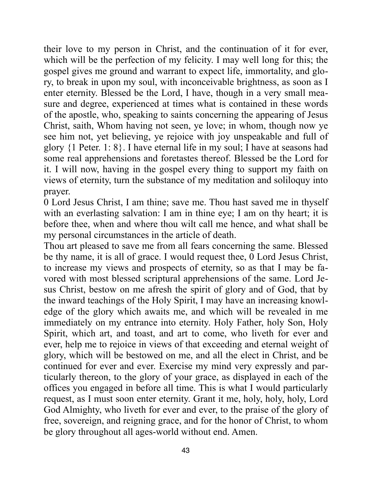their love to my person in Christ, and the continuation of it for ever, which will be the perfection of my felicity. I may well long for this; the gospel gives me ground and warrant to expect life, immortality, and glory, to break in upon my soul, with inconceivable brightness, as soon as I enter eternity. Blessed be the Lord, I have, though in a very small measure and degree, experienced at times what is contained in these words of the apostle, who, speaking to saints concerning the appearing of Jesus Christ, saith, Whom having not seen, ye love; in whom, though now ye see him not, yet believing, ye rejoice with joy unspeakable and full of glory {1 Peter. 1: 8}. I have eternal life in my soul; I have at seasons had some real apprehensions and foretastes thereof. Blessed be the Lord for it. I will now, having in the gospel every thing to support my faith on views of eternity, turn the substance of my meditation and soliloquy into prayer.

0 Lord Jesus Christ, I am thine; save me. Thou hast saved me in thyself with an everlasting salvation: I am in thine eye; I am on thy heart; it is before thee, when and where thou wilt call me hence, and what shall be my personal circumstances in the article of death.

Thou art pleased to save me from all fears concerning the same. Blessed be thy name, it is all of grace. I would request thee, 0 Lord Jesus Christ, to increase my views and prospects of eternity, so as that I may be favored with most blessed scriptural apprehensions of the same. Lord Jesus Christ, bestow on me afresh the spirit of glory and of God, that by the inward teachings of the Holy Spirit, I may have an increasing knowledge of the glory which awaits me, and which will be revealed in me immediately on my entrance into eternity. Holy Father, holy Son, Holy Spirit, which art, and toast, and art to come, who liveth for ever and ever, help me to rejoice in views of that exceeding and eternal weight of glory, which will be bestowed on me, and all the elect in Christ, and be continued for ever and ever. Exercise my mind very expressly and particularly thereon, to the glory of your grace, as displayed in each of the offices you engaged in before all time. This is what I would particularly request, as I must soon enter eternity. Grant it me, holy, holy, holy, Lord God Almighty, who liveth for ever and ever, to the praise of the glory of free, sovereign, and reigning grace, and for the honor of Christ, to whom be glory throughout all ages-world without end. Amen.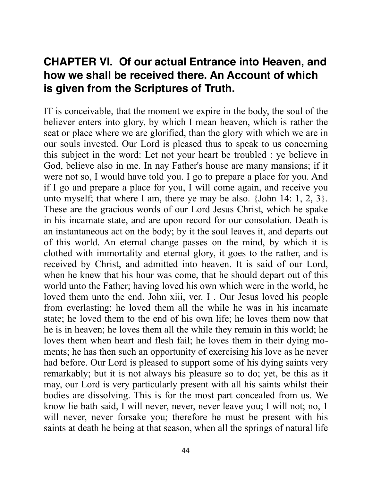# **CHAPTER VI. Of our actual Entrance into Heaven, and how we shall be received there. An Account of which is given from the Scriptures of Truth.**

IT is conceivable, that the moment we expire in the body, the soul of the believer enters into glory, by which I mean heaven, which is rather the seat or place where we are glorified, than the glory with which we are in our souls invested. Our Lord is pleased thus to speak to us concerning this subject in the word: Let not your heart be troubled : ye believe in God, believe also in me. In nay Father's house are many mansions; if it were not so, I would have told you. I go to prepare a place for you. And if I go and prepare a place for you, I will come again, and receive you unto myself; that where I am, there ye may be also. {John 14: 1, 2, 3}. These are the gracious words of our Lord Jesus Christ, which he spake in his incarnate state, and are upon record for our consolation. Death is an instantaneous act on the body; by it the soul leaves it, and departs out of this world. An eternal change passes on the mind, by which it is clothed with immortality and eternal glory, it goes to the rather, and is received by Christ, and admitted into heaven. It is said of our Lord, when he knew that his hour was come, that he should depart out of this world unto the Father; having loved his own which were in the world, he loved them unto the end. John xiii, ver. I . Our Jesus loved his people from everlasting; he loved them all the while he was in his incarnate state; he loved them to the end of his own life; he loves them now that he is in heaven; he loves them all the while they remain in this world; he loves them when heart and flesh fail; he loves them in their dying moments; he has then such an opportunity of exercising his love as he never had before. Our Lord is pleased to support some of his dying saints very remarkably; but it is not always his pleasure so to do; yet, be this as it may, our Lord is very particularly present with all his saints whilst their bodies are dissolving. This is for the most part concealed from us. We know lie bath said, I will never, never, never leave you; I will not; no, 1 will never, never forsake you; therefore he must be present with his saints at death he being at that season, when all the springs of natural life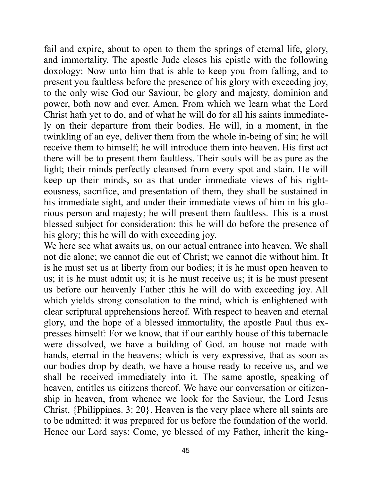fail and expire, about to open to them the springs of eternal life, glory, and immortality. The apostle Jude closes his epistle with the following doxology: Now unto him that is able to keep you from falling, and to present you faultless before the presence of his glory with exceeding joy, to the only wise God our Saviour, be glory and majesty, dominion and power, both now and ever. Amen. From which we learn what the Lord Christ hath yet to do, and of what he will do for all his saints immediately on their departure from their bodies. He will, in a moment, in the twinkling of an eye, deliver them from the whole in-being of sin; he will receive them to himself; he will introduce them into heaven. His first act there will be to present them faultless. Their souls will be as pure as the light; their minds perfectly cleansed from every spot and stain. He will keep up their minds, so as that under immediate views of his righteousness, sacrifice, and presentation of them, they shall be sustained in his immediate sight, and under their immediate views of him in his glorious person and majesty; he will present them faultless. This is a most blessed subject for consideration: this he will do before the presence of his glory; this he will do with exceeding joy.

We here see what awaits us, on our actual entrance into heaven. We shall not die alone; we cannot die out of Christ; we cannot die without him. It is he must set us at liberty from our bodies; it is he must open heaven to us; it is he must admit us; it is he must receive us; it is he must present us before our heavenly Father ;this he will do with exceeding joy. All which yields strong consolation to the mind, which is enlightened with clear scriptural apprehensions hereof. With respect to heaven and eternal glory, and the hope of a blessed immortality, the apostle Paul thus expresses himself: For we know, that if our earthly house of this tabernacle were dissolved, we have a building of God. an house not made with hands, eternal in the heavens; which is very expressive, that as soon as our bodies drop by death, we have a house ready to receive us, and we shall be received immediately into it. The same apostle, speaking of heaven, entitles us citizens thereof. We have our conversation or citizenship in heaven, from whence we look for the Saviour, the Lord Jesus Christ, {Philippines. 3: 20}. Heaven is the very place where all saints are to be admitted: it was prepared for us before the foundation of the world. Hence our Lord says: Come, ye blessed of my Father, inherit the king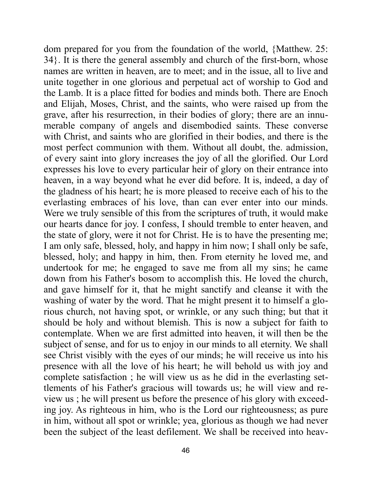dom prepared for you from the foundation of the world, {Matthew. 25: 34}. It is there the general assembly and church of the first-born, whose names are written in heaven, are to meet; and in the issue, all to live and unite together in one glorious and perpetual act of worship to God and the Lamb. It is a place fitted for bodies and minds both. There are Enoch and Elijah, Moses, Christ, and the saints, who were raised up from the grave, after his resurrection, in their bodies of glory; there are an innumerable company of angels and disembodied saints. These converse with Christ, and saints who are glorified in their bodies, and there is the most perfect communion with them. Without all doubt, the. admission, of every saint into glory increases the joy of all the glorified. Our Lord expresses his love to every particular heir of glory on their entrance into heaven, in a way beyond what he ever did before. It is, indeed, a day of the gladness of his heart; he is more pleased to receive each of his to the everlasting embraces of his love, than can ever enter into our minds. Were we truly sensible of this from the scriptures of truth, it would make our hearts dance for joy. I confess, I should tremble to enter heaven, and the state of glory, were it not for Christ. He is to have the presenting me; I am only safe, blessed, holy, and happy in him now; I shall only be safe, blessed, holy; and happy in him, then. From eternity he loved me, and undertook for me; he engaged to save me from all my sins; he came down from his Father's bosom to accomplish this. He loved the church, and gave himself for it, that he might sanctify and cleanse it with the washing of water by the word. That he might present it to himself a glorious church, not having spot, or wrinkle, or any such thing; but that it should be holy and without blemish. This is now a subject for faith to contemplate. When we are first admitted into heaven, it will then be the subject of sense, and for us to enjoy in our minds to all eternity. We shall see Christ visibly with the eyes of our minds; he will receive us into his presence with all the love of his heart; he will behold us with joy and complete satisfaction ; he will view us as he did in the everlasting settlements of his Father's gracious will towards us; he will view and review us ; he will present us before the presence of his glory with exceeding joy. As righteous in him, who is the Lord our righteousness; as pure in him, without all spot or wrinkle; yea, glorious as though we had never been the subject of the least defilement. We shall be received into heav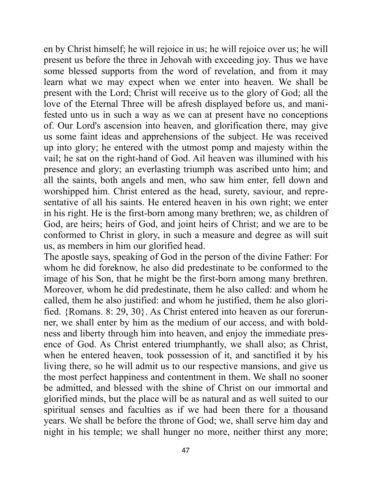en by Christ himself; he will rejoice in us; he will rejoice over us; he will present us before the three in Jehovah with exceeding joy. Thus we have some blessed supports from the word of revelation, and from it may learn what we may expect when we enter into heaven. We shall be present with the Lord; Christ will receive us to the glory of God; all the love of the Eternal Three will be afresh displayed before us, and manifested unto us in such a way as we can at present have no conceptions of. Our Lord's ascension into heaven, and glorification there, may give us some faint ideas and apprehensions of the subject. He was received up into glory; he entered with the utmost pomp and majesty within the vail; he sat on the right-hand of God. Ail heaven was illumined with his presence and glory; an everlasting triumph was ascribed unto him; and all the saints, both angels and men, who saw him enter, fell down and worshipped him. Christ entered as the head, surety, saviour, and representative of all his saints. He entered heaven in his own right; we enter in his right. He is the first-born among many brethren; we, as children of God, are heirs; heirs of God, and joint heirs of Christ; and we are to be conformed to Christ in glory, in such a measure and degree as will suit us, as members in him our glorified head.

The apostle says, speaking of God in the person of the divine Father: For whom he did foreknow, he also did predestinate to be conformed to the image of his Son, that he might be the first-born among many brethren. Moreover, whom he did predestinate, them he also called: and whom he called, them he also justified: and whom he justified, them he also glorified. {Romans. 8: 29, 30}. As Christ entered into heaven as our forerunner, we shall enter by him as the medium of our access, and with boldness and liberty through him into heaven, and enjoy the immediate presence of God. As Christ entered triumphantly, we shall also; as Christ, when he entered heaven, took possession of it, and sanctified it by his living there, so he will admit us to our respective mansions, and give us the most perfect happiness and contentment in them. We shall no sooner be admitted, and blessed with the shine of Christ on our immortal and glorified minds, but the place will be as natural and as well suited to our spiritual senses and faculties as if we had been there for a thousand years. We shall be before the throne of God; we, shall serve him day and night in his temple; we shall hunger no more, neither thirst any more;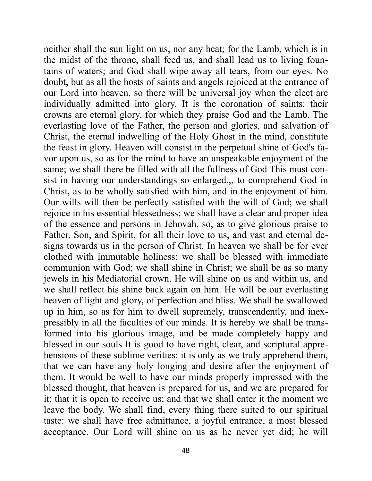neither shall the sun light on us, nor any heat; for the Lamb, which is in the midst of the throne, shall feed us, and shall lead us to living fountains of waters; and God shall wipe away all tears, from our eyes. No doubt, but as all the hosts of saints and angels rejoiced at the entrance of our Lord into heaven, so there will be universal joy when the elect are individually admitted into glory. It is the coronation of saints: their crowns are eternal glory, for which they praise God and the Lamb, The everlasting love of the Father, the person and glories, and salvation of Christ, the eternal indwelling of the Holy Ghost in the mind, constitute the feast in glory. Heaven will consist in the perpetual shine of God's favor upon us, so as for the mind to have an unspeakable enjoyment of the same; we shall there be filled with all the fullness of God This must consist in having our understandings so enlarged,,, to comprehend God in Christ, as to be wholly satisfied with him, and in the enjoyment of him. Our wills will then be perfectly satisfied with the will of God; we shall rejoice in his essential blessedness; we shall have a clear and proper idea of the essence and persons in Jehovah, so, as to give glorious praise to Father, Son, and Spirit, for all their love to us, and vast and eternal designs towards us in the person of Christ. In heaven we shall be for ever clothed with immutable holiness; we shall be blessed with immediate communion with God; we shall shine in Christ; we shall be as so many jewels in his Mediatorial crown. He will shine on us and within us, and we shall reflect his shine back again on him. He will be our everlasting heaven of light and glory, of perfection and bliss. We shall be swallowed up in him, so as for him to dwell supremely, transcendently, and inexpressibly in all the faculties of our minds. It is hereby we shall be transformed into his glorious image, and be made completely happy and blessed in our souls It is good to have right, clear, and scriptural apprehensions of these sublime verities: it is only as we truly apprehend them, that we can have any holy longing and desire after the enjoyment of them. It would be well to have our minds properly impressed with the blessed thought, that heaven is prepared for us, and we are prepared for it; that it is open to receive us; and that we shall enter it the moment we leave the body. We shall find, every thing there suited to our spiritual taste: we shall have free admittance, a joyful entrance, a most blessed acceptance. Our Lord will shine on us as he never yet did; he will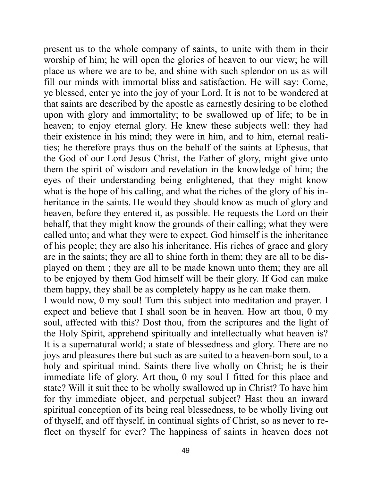present us to the whole company of saints, to unite with them in their worship of him; he will open the glories of heaven to our view; he will place us where we are to be, and shine with such splendor on us as will fill our minds with immortal bliss and satisfaction. He will say: Come, ye blessed, enter ye into the joy of your Lord. It is not to be wondered at that saints are described by the apostle as earnestly desiring to be clothed upon with glory and immortality; to be swallowed up of life; to be in heaven; to enjoy eternal glory. He knew these subjects well: they had their existence in his mind; they were in him, and to him, eternal realities; he therefore prays thus on the behalf of the saints at Ephesus, that the God of our Lord Jesus Christ, the Father of glory, might give unto them the spirit of wisdom and revelation in the knowledge of him; the eyes of their understanding being enlightened, that they might know what is the hope of his calling, and what the riches of the glory of his inheritance in the saints. He would they should know as much of glory and heaven, before they entered it, as possible. He requests the Lord on their behalf, that they might know the grounds of their calling; what they were called unto; and what they were to expect. God himself is the inheritance of his people; they are also his inheritance. His riches of grace and glory are in the saints; they are all to shine forth in them; they are all to be displayed on them ; they are all to be made known unto them; they are all to be enjoyed by them God himself will be their glory. If God can make them happy, they shall be as completely happy as he can make them.

I would now, 0 my soul! Turn this subject into meditation and prayer. I expect and believe that I shall soon be in heaven. How art thou, 0 my soul, affected with this? Dost thou, from the scriptures and the light of the Holy Spirit, apprehend spiritually and intellectually what heaven is? It is a supernatural world; a state of blessedness and glory. There are no joys and pleasures there but such as are suited to a heaven-born soul, to a holy and spiritual mind. Saints there live wholly on Christ; he is their immediate life of glory. Art thou, 0 my soul I fitted for this place and state? Will it suit thee to be wholly swallowed up in Christ? To have him for thy immediate object, and perpetual subject? Hast thou an inward spiritual conception of its being real blessedness, to be wholly living out of thyself, and off thyself, in continual sights of Christ, so as never to reflect on thyself for ever? The happiness of saints in heaven does not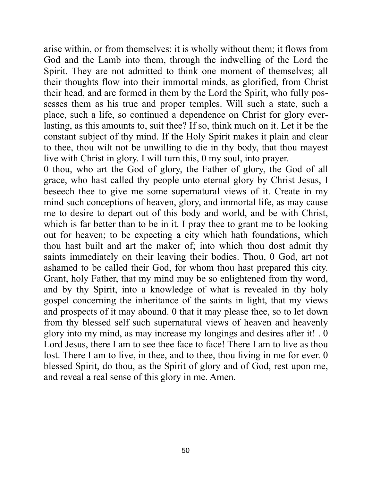arise within, or from themselves: it is wholly without them; it flows from God and the Lamb into them, through the indwelling of the Lord the Spirit. They are not admitted to think one moment of themselves; all their thoughts flow into their immortal minds, as glorified, from Christ their head, and are formed in them by the Lord the Spirit, who fully possesses them as his true and proper temples. Will such a state, such a place, such a life, so continued a dependence on Christ for glory everlasting, as this amounts to, suit thee? If so, think much on it. Let it be the constant subject of thy mind. If the Holy Spirit makes it plain and clear to thee, thou wilt not be unwilling to die in thy body, that thou mayest live with Christ in glory. I will turn this, 0 my soul, into prayer.

0 thou, who art the God of glory, the Father of glory, the God of all grace, who hast called thy people unto eternal glory by Christ Jesus, I beseech thee to give me some supernatural views of it. Create in my mind such conceptions of heaven, glory, and immortal life, as may cause me to desire to depart out of this body and world, and be with Christ, which is far better than to be in it. I pray thee to grant me to be looking out for heaven; to be expecting a city which hath foundations, which thou hast built and art the maker of; into which thou dost admit thy saints immediately on their leaving their bodies. Thou, 0 God, art not ashamed to be called their God, for whom thou hast prepared this city. Grant, holy Father, that my mind may be so enlightened from thy word, and by thy Spirit, into a knowledge of what is revealed in thy holy gospel concerning the inheritance of the saints in light, that my views and prospects of it may abound. 0 that it may please thee, so to let down from thy blessed self such supernatural views of heaven and heavenly glory into my mind, as may increase my longings and desires after it! . 0 Lord Jesus, there I am to see thee face to face! There I am to live as thou lost. There I am to live, in thee, and to thee, thou living in me for ever. 0 blessed Spirit, do thou, as the Spirit of glory and of God, rest upon me, and reveal a real sense of this glory in me. Amen.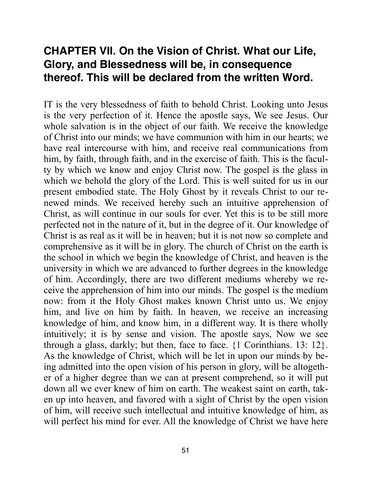# **CHAPTER VII. On the Vision of Christ. What our Life, Glory, and Blessedness will be, in consequence thereof. This will be declared from the written Word.**

IT is the very blessedness of faith to behold Christ. Looking unto Jesus is the very perfection of it. Hence the apostle says, We see Jesus. Our whole salvation is in the object of our faith. We receive the knowledge of Christ into our minds; we have communion with him in our hearts; we have real intercourse with him, and receive real communications from him, by faith, through faith, and in the exercise of faith. This is the faculty by which we know and enjoy Christ now. The gospel is the glass in which we behold the glory of the Lord. This is well suited for us in our present embodied state. The Holy Ghost by it reveals Christ to our renewed minds. We received hereby such an intuitive apprehension of Christ, as will continue in our souls for ever. Yet this is to be still more perfected not in the nature of it, but in the degree of it. Our knowledge of Christ is as real as it will be in heaven; but it is not now so complete and comprehensive as it will be in glory. The church of Christ on the earth is the school in which we begin the knowledge of Christ, and heaven is the university in which we are advanced to further degrees in the knowledge of him. Accordingly, there are two different mediums whereby we receive the apprehension of him into our minds. The gospel is the medium now: from it the Holy Ghost makes known Christ unto us. We enjoy him, and live on him by faith. In heaven, we receive an increasing knowledge of him, and know him, in a different way. It is there wholly intuitively; it is by sense and vision. The apostle says, Now we see through a glass, darkly; but then, face to face. {1 Corinthians. 13: 12}. As the knowledge of Christ, which will be let in upon our minds by being admitted into the open vision of his person in glory, will be altogether of a higher degree than we can at present comprehend, so it will put down all we ever knew of him on earth. The weakest saint on earth, taken up into heaven, and favored with a sight of Christ by the open vision of him, will receive such intellectual and intuitive knowledge of him, as will perfect his mind for ever. All the knowledge of Christ we have here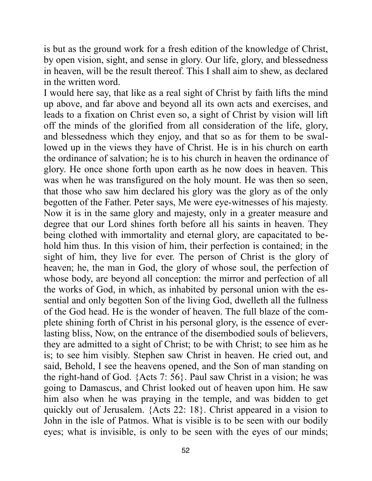is but as the ground work for a fresh edition of the knowledge of Christ, by open vision, sight, and sense in glory. Our life, glory, and blessedness in heaven, will be the result thereof. This I shall aim to shew, as declared in the written word.

I would here say, that like as a real sight of Christ by faith lifts the mind up above, and far above and beyond all its own acts and exercises, and leads to a fixation on Christ even so, a sight of Christ by vision will lift off the minds of the glorified from all consideration of the life, glory, and blessedness which they enjoy, and that so as for them to be swallowed up in the views they have of Christ. He is in his church on earth the ordinance of salvation; he is to his church in heaven the ordinance of glory. He once shone forth upon earth as he now does in heaven. This was when he was transfigured on the holy mount. He was then so seen, that those who saw him declared his glory was the glory as of the only begotten of the Father. Peter says, Me were eye-witnesses of his majesty. Now it is in the same glory and majesty, only in a greater measure and degree that our Lord shines forth before all his saints in heaven. They being clothed with immortality and eternal glory, are capacitated to behold him thus. In this vision of him, their perfection is contained; in the sight of him, they live for ever. The person of Christ is the glory of heaven; he, the man in God, the glory of whose soul, the perfection of whose body, are beyond all conception: the mirror and perfection of all the works of God, in which, as inhabited by personal union with the essential and only begotten Son of the living God, dwelleth all the fullness of the God head. He is the wonder of heaven. The full blaze of the complete shining forth of Christ in his personal glory, is the essence of everlasting bliss, Now, on the entrance of the disembodied souls of believers, they are admitted to a sight of Christ; to be with Christ; to see him as he is; to see him visibly. Stephen saw Christ in heaven. He cried out, and said, Behold, I see the heavens opened, and the Son of man standing on the right-hand of God. {Acts 7: 56}. Paul saw Christ in a vision; he was going to Damascus, and Christ looked out of heaven upon him. He saw him also when he was praying in the temple, and was bidden to get quickly out of Jerusalem. {Acts 22: 18}. Christ appeared in a vision to John in the isle of Patmos. What is visible is to be seen with our bodily eyes; what is invisible, is only to be seen with the eyes of our minds;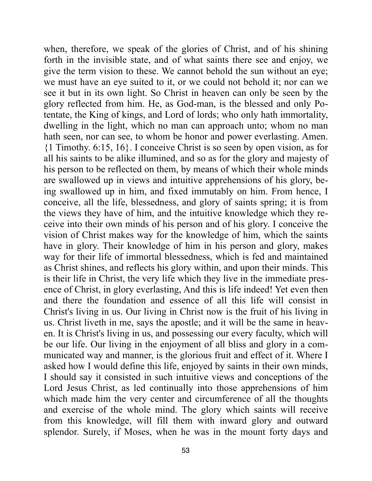when, therefore, we speak of the glories of Christ, and of his shining forth in the invisible state, and of what saints there see and enjoy, we give the term vision to these. We cannot behold the sun without an eye; we must have an eye suited to it, or we could not behold it; nor can we see it but in its own light. So Christ in heaven can only be seen by the glory reflected from him. He, as God-man, is the blessed and only Potentate, the King of kings, and Lord of lords; who only hath immortality, dwelling in the light, which no man can approach unto; whom no man hath seen, nor can see, to whom be honor and power everlasting. Amen. {1 Timothy. 6:15, 16}. I conceive Christ is so seen by open vision, as for all his saints to be alike illumined, and so as for the glory and majesty of his person to be reflected on them, by means of which their whole minds are swallowed up in views and intuitive apprehensions of his glory, being swallowed up in him, and fixed immutably on him. From hence, I conceive, all the life, blessedness, and glory of saints spring; it is from the views they have of him, and the intuitive knowledge which they receive into their own minds of his person and of his glory. I conceive the vision of Christ makes way for the knowledge of him, which the saints have in glory. Their knowledge of him in his person and glory, makes way for their life of immortal blessedness, which is fed and maintained as Christ shines, and reflects his glory within, and upon their minds. This is their life in Christ, the very life which they live in the immediate presence of Christ, in glory everlasting, And this is life indeed! Yet even then and there the foundation and essence of all this life will consist in Christ's living in us. Our living in Christ now is the fruit of his living in us. Christ liveth in me, says the apostle; and it will be the same in heaven. It is Christ's living in us, and possessing our every faculty, which will be our life. Our living in the enjoyment of all bliss and glory in a communicated way and manner, is the glorious fruit and effect of it. Where I asked how I would define this life, enjoyed by saints in their own minds, I should say it consisted in such intuitive views and conceptions of the Lord Jesus Christ, as led continually into those apprehensions of him which made him the very center and circumference of all the thoughts and exercise of the whole mind. The glory which saints will receive from this knowledge, will fill them with inward glory and outward splendor. Surely, if Moses, when he was in the mount forty days and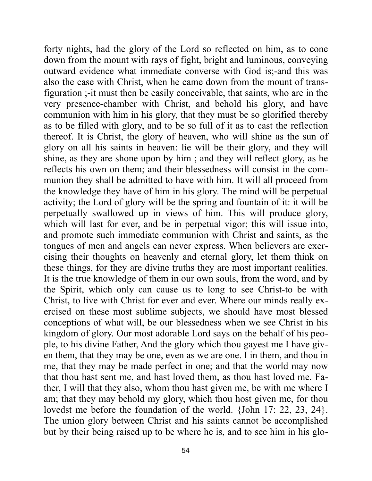forty nights, had the glory of the Lord so reflected on him, as to cone down from the mount with rays of fight, bright and luminous, conveying outward evidence what immediate converse with God is;-and this was also the case with Christ, when he came down from the mount of transfiguration ;-it must then be easily conceivable, that saints, who are in the very presence-chamber with Christ, and behold his glory, and have communion with him in his glory, that they must be so glorified thereby as to be filled with glory, and to be so full of it as to cast the reflection thereof. It is Christ, the glory of heaven, who will shine as the sun of glory on all his saints in heaven: lie will be their glory, and they will shine, as they are shone upon by him ; and they will reflect glory, as he reflects his own on them; and their blessedness will consist in the communion they shall be admitted to have with him. It will all proceed from the knowledge they have of him in his glory. The mind will be perpetual activity; the Lord of glory will be the spring and fountain of it: it will be perpetually swallowed up in views of him. This will produce glory, which will last for ever, and be in perpetual vigor; this will issue into, and promote such immediate communion with Christ and saints, as the tongues of men and angels can never express. When believers are exercising their thoughts on heavenly and eternal glory, let them think on these things, for they are divine truths they are most important realities. It is the true knowledge of them in our own souls, from the word, and by the Spirit, which only can cause us to long to see Christ-to be with Christ, to live with Christ for ever and ever. Where our minds really exercised on these most sublime subjects, we should have most blessed conceptions of what will, be our blessedness when we see Christ in his kingdom of glory. Our most adorable Lord says on the behalf of his people, to his divine Father, And the glory which thou gayest me I have given them, that they may be one, even as we are one. I in them, and thou in me, that they may be made perfect in one; and that the world may now that thou hast sent me, and hast loved them, as thou hast loved me. Father, I will that they also, whom thou hast given me, be with me where I am; that they may behold my glory, which thou host given me, for thou lovedst me before the foundation of the world. {John 17: 22, 23, 24}. The union glory between Christ and his saints cannot be accomplished but by their being raised up to be where he is, and to see him in his glo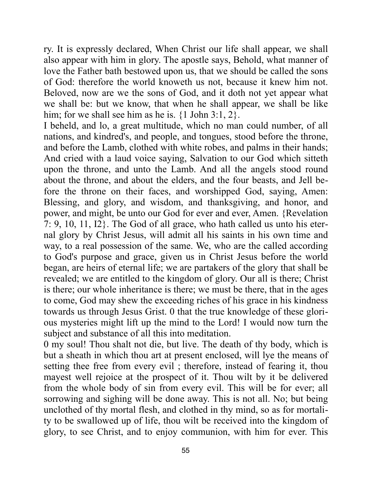ry. It is expressly declared, When Christ our life shall appear, we shall also appear with him in glory. The apostle says, Behold, what manner of love the Father bath bestowed upon us, that we should be called the sons of God: therefore the world knoweth us not, because it knew him not. Beloved, now are we the sons of God, and it doth not yet appear what we shall be: but we know, that when he shall appear, we shall be like him; for we shall see him as he is.  $\{1 \text{ John } 3:1, 2\}.$ 

I beheld, and lo, a great multitude, which no man could number, of all nations, and kindred's, and people, and tongues, stood before the throne, and before the Lamb, clothed with white robes, and palms in their hands; And cried with a laud voice saying, Salvation to our God which sitteth upon the throne, and unto the Lamb. And all the angels stood round about the throne, and about the elders, and the four beasts, and Jell before the throne on their faces, and worshipped God, saying, Amen: Blessing, and glory, and wisdom, and thanksgiving, and honor, and power, and might, be unto our God for ever and ever, Amen. {Revelation 7: 9, 10, 11, I2}. The God of all grace, who hath called us unto his eternal glory by Christ Jesus, will admit all his saints in his own time and way, to a real possession of the same. We, who are the called according to God's purpose and grace, given us in Christ Jesus before the world began, are heirs of eternal life; we are partakers of the glory that shall be revealed; we are entitled to the kingdom of glory. Our all is there; Christ is there; our whole inheritance is there; we must be there, that in the ages to come, God may shew the exceeding riches of his grace in his kindness towards us through Jesus Grist. 0 that the true knowledge of these glorious mysteries might lift up the mind to the Lord! I would now turn the subject and substance of all this into meditation.

0 my soul! Thou shalt not die, but live. The death of thy body, which is but a sheath in which thou art at present enclosed, will lye the means of setting thee free from every evil ; therefore, instead of fearing it, thou mayest well rejoice at the prospect of it. Thou wilt by it be delivered from the whole body of sin from every evil. This will be for ever; all sorrowing and sighing will be done away. This is not all. No; but being unclothed of thy mortal flesh, and clothed in thy mind, so as for mortality to be swallowed up of life, thou wilt be received into the kingdom of glory, to see Christ, and to enjoy communion, with him for ever. This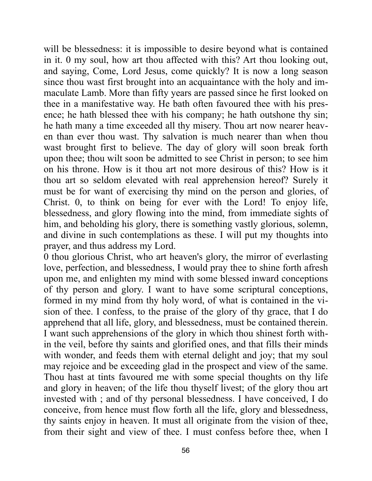will be blessedness: it is impossible to desire beyond what is contained in it. 0 my soul, how art thou affected with this? Art thou looking out, and saying, Come, Lord Jesus, come quickly? It is now a long season since thou wast first brought into an acquaintance with the holy and immaculate Lamb. More than fifty years are passed since he first looked on thee in a manifestative way. He bath often favoured thee with his presence; he hath blessed thee with his company; he hath outshone thy sin; he hath many a time exceeded all thy misery. Thou art now nearer heaven than ever thou wast. Thy salvation is much nearer than when thou wast brought first to believe. The day of glory will soon break forth upon thee; thou wilt soon be admitted to see Christ in person; to see him on his throne. How is it thou art not more desirous of this? How is it thou art so seldom elevated with real apprehension hereof? Surely it must be for want of exercising thy mind on the person and glories, of Christ. 0, to think on being for ever with the Lord! To enjoy life, blessedness, and glory flowing into the mind, from immediate sights of him, and beholding his glory, there is something vastly glorious, solemn, and divine in such contemplations as these. I will put my thoughts into prayer, and thus address my Lord.

0 thou glorious Christ, who art heaven's glory, the mirror of everlasting love, perfection, and blessedness, I would pray thee to shine forth afresh upon me, and enlighten my mind with some blessed inward conceptions of thy person and glory. I want to have some scriptural conceptions, formed in my mind from thy holy word, of what is contained in the vision of thee. I confess, to the praise of the glory of thy grace, that I do apprehend that all life, glory, and blessedness, must be contained therein. I want such apprehensions of the glory in which thou shinest forth within the veil, before thy saints and glorified ones, and that fills their minds with wonder, and feeds them with eternal delight and joy; that my soul may rejoice and be exceeding glad in the prospect and view of the same. Thou hast at tints favoured me with some special thoughts on thy life and glory in heaven; of the life thou thyself livest; of the glory thou art invested with ; and of thy personal blessedness. I have conceived, I do conceive, from hence must flow forth all the life, glory and blessedness, thy saints enjoy in heaven. It must all originate from the vision of thee, from their sight and view of thee. I must confess before thee, when I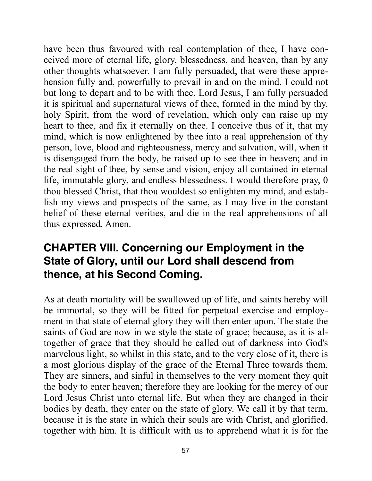have been thus favoured with real contemplation of thee, I have conceived more of eternal life, glory, blessedness, and heaven, than by any other thoughts whatsoever. I am fully persuaded, that were these apprehension fully and, powerfully to prevail in and on the mind, I could not but long to depart and to be with thee. Lord Jesus, I am fully persuaded it is spiritual and supernatural views of thee, formed in the mind by thy. holy Spirit, from the word of revelation, which only can raise up my heart to thee, and fix it eternally on thee. I conceive thus of it, that my mind, which is now enlightened by thee into a real apprehension of thy person, love, blood and righteousness, mercy and salvation, will, when it is disengaged from the body, be raised up to see thee in heaven; and in the real sight of thee, by sense and vision, enjoy all contained in eternal life, immutable glory, and endless blessedness. I would therefore pray, 0 thou blessed Christ, that thou wouldest so enlighten my mind, and establish my views and prospects of the same, as I may live in the constant belief of these eternal verities, and die in the real apprehensions of all thus expressed. Amen.

# **CHAPTER VIII. Concerning our Employment in the State of Glory, until our Lord shall descend from thence, at his Second Coming.**

As at death mortality will be swallowed up of life, and saints hereby will be immortal, so they will be fitted for perpetual exercise and employment in that state of eternal glory they will then enter upon. The state the saints of God are now in we style the state of grace; because, as it is altogether of grace that they should be called out of darkness into God's marvelous light, so whilst in this state, and to the very close of it, there is a most glorious display of the grace of the Eternal Three towards them. They are sinners, and sinful in themselves to the very moment they quit the body to enter heaven; therefore they are looking for the mercy of our Lord Jesus Christ unto eternal life. But when they are changed in their bodies by death, they enter on the state of glory. We call it by that term, because it is the state in which their souls are with Christ, and glorified, together with him. It is difficult with us to apprehend what it is for the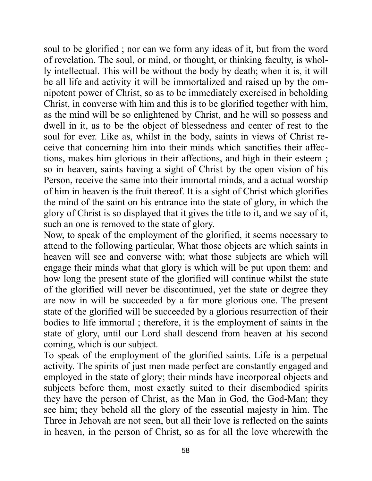soul to be glorified ; nor can we form any ideas of it, but from the word of revelation. The soul, or mind, or thought, or thinking faculty, is wholly intellectual. This will be without the body by death; when it is, it will be all life and activity it will be immortalized and raised up by the omnipotent power of Christ, so as to be immediately exercised in beholding Christ, in converse with him and this is to be glorified together with him, as the mind will be so enlightened by Christ, and he will so possess and dwell in it, as to be the object of blessedness and center of rest to the soul for ever. Like as, whilst in the body, saints in views of Christ receive that concerning him into their minds which sanctifies their affections, makes him glorious in their affections, and high in their esteem ; so in heaven, saints having a sight of Christ by the open vision of his Person, receive the same into their immortal minds, and a actual worship of him in heaven is the fruit thereof. It is a sight of Christ which glorifies the mind of the saint on his entrance into the state of glory, in which the glory of Christ is so displayed that it gives the title to it, and we say of it, such an one is removed to the state of glory.

Now, to speak of the employment of the glorified, it seems necessary to attend to the following particular, What those objects are which saints in heaven will see and converse with; what those subjects are which will engage their minds what that glory is which will be put upon them: and how long the present state of the glorified will continue whilst the state of the glorified will never be discontinued, yet the state or degree they are now in will be succeeded by a far more glorious one. The present state of the glorified will be succeeded by a glorious resurrection of their bodies to life immortal ; therefore, it is the employment of saints in the state of glory, until our Lord shall descend from heaven at his second coming, which is our subject.

To speak of the employment of the glorified saints. Life is a perpetual activity. The spirits of just men made perfect are constantly engaged and employed in the state of glory; their minds have incorporeal objects and subjects before them, most exactly suited to their disembodied spirits they have the person of Christ, as the Man in God, the God-Man; they see him; they behold all the glory of the essential majesty in him. The Three in Jehovah are not seen, but all their love is reflected on the saints in heaven, in the person of Christ, so as for all the love wherewith the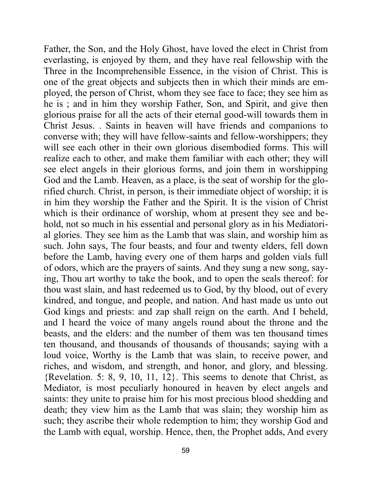Father, the Son, and the Holy Ghost, have loved the elect in Christ from everlasting, is enjoyed by them, and they have real fellowship with the Three in the Incomprehensible Essence, in the vision of Christ. This is one of the great objects and subjects then in which their minds are employed, the person of Christ, whom they see face to face; they see him as he is ; and in him they worship Father, Son, and Spirit, and give then glorious praise for all the acts of their eternal good-will towards them in Christ Jesus. . Saints in heaven will have friends and companions to converse with; they will have fellow-saints and fellow-worshippers; they will see each other in their own glorious disembodied forms. This will realize each to other, and make them familiar with each other; they will see elect angels in their glorious forms, and join them in worshipping God and the Lamb. Heaven, as a place, is the seat of worship for the glorified church. Christ, in person, is their immediate object of worship; it is in him they worship the Father and the Spirit. It is the vision of Christ which is their ordinance of worship, whom at present they see and behold, not so much in his essential and personal glory as in his Mediatorial glories. They see him as the Lamb that was slain, and worship him as such. John says, The four beasts, and four and twenty elders, fell down before the Lamb, having every one of them harps and golden vials full of odors, which are the prayers of saints. And they sung a new song, saying, Thou art worthy to take the book, and to open the seals thereof: for thou wast slain, and hast redeemed us to God, by thy blood, out of every kindred, and tongue, and people, and nation. And hast made us unto out God kings and priests: and zap shall reign on the earth. And I beheld, and I heard the voice of many angels round about the throne and the beasts, and the elders: and the number of them was ten thousand times ten thousand, and thousands of thousands of thousands; saying with a loud voice, Worthy is the Lamb that was slain, to receive power, and riches, and wisdom, and strength, and honor, and glory, and blessing. {Revelation. 5: 8, 9, 10, 11, 12}. This seems to denote that Christ, as Mediator, is most peculiarly honoured in heaven by elect angels and saints: they unite to praise him for his most precious blood shedding and death; they view him as the Lamb that was slain; they worship him as such; they ascribe their whole redemption to him; they worship God and the Lamb with equal, worship. Hence, then, the Prophet adds, And every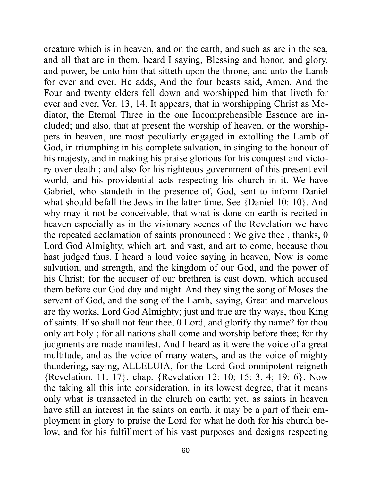creature which is in heaven, and on the earth, and such as are in the sea, and all that are in them, heard I saying, Blessing and honor, and glory, and power, be unto him that sitteth upon the throne, and unto the Lamb for ever and ever. He adds, And the four beasts said, Amen. And the Four and twenty elders fell down and worshipped him that liveth for ever and ever, Ver. 13, 14. It appears, that in worshipping Christ as Mediator, the Eternal Three in the one Incomprehensible Essence are included; and also, that at present the worship of heaven, or the worshippers in heaven, are most peculiarly engaged in extolling the Lamb of God, in triumphing in his complete salvation, in singing to the honour of his majesty, and in making his praise glorious for his conquest and victory over death ; and also for his righteous government of this present evil world, and his providential acts respecting his church in it. We have Gabriel, who standeth in the presence of, God, sent to inform Daniel what should befall the Jews in the latter time. See {Daniel 10: 10}. And why may it not be conceivable, that what is done on earth is recited in heaven especially as in the visionary scenes of the Revelation we have the repeated acclamation of saints pronounced : We give thee , thanks, 0 Lord God Almighty, which art, and vast, and art to come, because thou hast judged thus. I heard a loud voice saying in heaven, Now is come salvation, and strength, and the kingdom of our God, and the power of his Christ; for the accuser of our brethren is cast down, which accused them before our God day and night. And they sing the song of Moses the servant of God, and the song of the Lamb, saying, Great and marvelous are thy works, Lord God Almighty; just and true are thy ways, thou King of saints. If so shall not fear thee, 0 Lord, and glorify thy name? for thou only art holy ; for all nations shall come and worship before thee; for thy judgments are made manifest. And I heard as it were the voice of a great multitude, and as the voice of many waters, and as the voice of mighty thundering, saying, ALLELUIA, for the Lord God omnipotent reigneth {Revelation. 11: 17}. chap. {Revelation 12: 10; 15: 3, 4; 19: 6}. Now the taking all this into consideration, in its lowest degree, that it means only what is transacted in the church on earth; yet, as saints in heaven have still an interest in the saints on earth, it may be a part of their employment in glory to praise the Lord for what he doth for his church below, and for his fulfillment of his vast purposes and designs respecting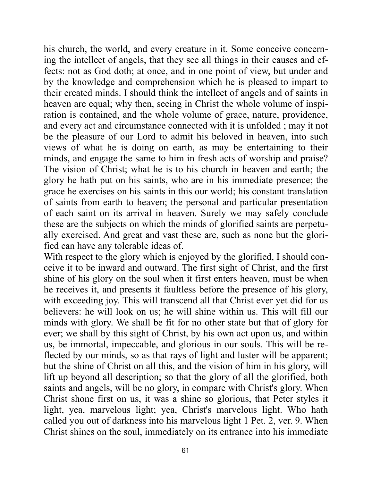his church, the world, and every creature in it. Some conceive concerning the intellect of angels, that they see all things in their causes and effects: not as God doth; at once, and in one point of view, but under and by the knowledge and comprehension which he is pleased to impart to their created minds. I should think the intellect of angels and of saints in heaven are equal; why then, seeing in Christ the whole volume of inspiration is contained, and the whole volume of grace, nature, providence, and every act and circumstance connected with it is unfolded ; may it not be the pleasure of our Lord to admit his beloved in heaven, into such views of what he is doing on earth, as may be entertaining to their minds, and engage the same to him in fresh acts of worship and praise? The vision of Christ; what he is to his church in heaven and earth; the glory he hath put on his saints, who are in his immediate presence; the grace he exercises on his saints in this our world; his constant translation of saints from earth to heaven; the personal and particular presentation of each saint on its arrival in heaven. Surely we may safely conclude these are the subjects on which the minds of glorified saints are perpetually exercised. And great and vast these are, such as none but the glorified can have any tolerable ideas of.

With respect to the glory which is enjoyed by the glorified, I should conceive it to be inward and outward. The first sight of Christ, and the first shine of his glory on the soul when it first enters heaven, must be when he receives it, and presents it faultless before the presence of his glory, with exceeding joy. This will transcend all that Christ ever yet did for us believers: he will look on us; he will shine within us. This will fill our minds with glory. We shall be fit for no other state but that of glory for ever; we shall by this sight of Christ, by his own act upon us, and within us, be immortal, impeccable, and glorious in our souls. This will be reflected by our minds, so as that rays of light and luster will be apparent; but the shine of Christ on all this, and the vision of him in his glory, will lift up beyond all description; so that the glory of all the glorified, both saints and angels, will be no glory, in compare with Christ's glory. When Christ shone first on us, it was a shine so glorious, that Peter styles it light, yea, marvelous light; yea, Christ's marvelous light. Who hath called you out of darkness into his marvelous light 1 Pet. 2, ver. 9. When Christ shines on the soul, immediately on its entrance into his immediate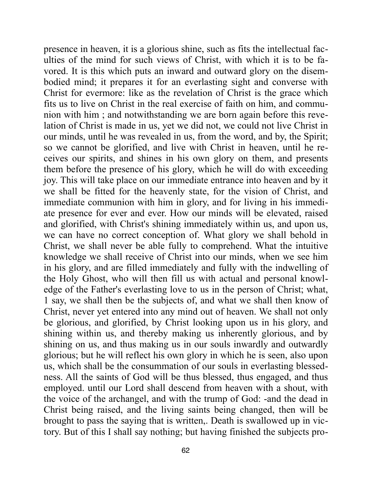presence in heaven, it is a glorious shine, such as fits the intellectual faculties of the mind for such views of Christ, with which it is to be favored. It is this which puts an inward and outward glory on the disembodied mind; it prepares it for an everlasting sight and converse with Christ for evermore: like as the revelation of Christ is the grace which fits us to live on Christ in the real exercise of faith on him, and communion with him ; and notwithstanding we are born again before this revelation of Christ is made in us, yet we did not, we could not live Christ in our minds, until he was revealed in us, from the word, and by, the Spirit; so we cannot be glorified, and live with Christ in heaven, until he receives our spirits, and shines in his own glory on them, and presents them before the presence of his glory, which he will do with exceeding joy. This will take place on our immediate entrance into heaven and by it we shall be fitted for the heavenly state, for the vision of Christ, and immediate communion with him in glory, and for living in his immediate presence for ever and ever. How our minds will be elevated, raised and glorified, with Christ's shining immediately within us, and upon us, we can have no correct conception of. What glory we shall behold in Christ, we shall never be able fully to comprehend. What the intuitive knowledge we shall receive of Christ into our minds, when we see him in his glory, and are filled immediately and fully with the indwelling of the Holy Ghost, who will then fill us with actual and personal knowledge of the Father's everlasting love to us in the person of Christ; what, 1 say, we shall then be the subjects of, and what we shall then know of Christ, never yet entered into any mind out of heaven. We shall not only be glorious, and glorified, by Christ looking upon us in his glory, and shining within us, and thereby making us inherently glorious, and by shining on us, and thus making us in our souls inwardly and outwardly glorious; but he will reflect his own glory in which he is seen, also upon us, which shall be the consummation of our souls in everlasting blessedness. All the saints of God will be thus blessed, thus engaged, and thus employed. until our Lord shall descend from heaven with a shout, with the voice of the archangel, and with the trump of God: -and the dead in Christ being raised, and the living saints being changed, then will be brought to pass the saying that is written,. Death is swallowed up in victory. But of this I shall say nothing; but having finished the subjects pro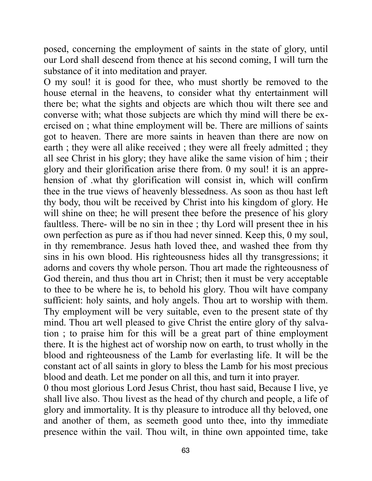posed, concerning the employment of saints in the state of glory, until our Lord shall descend from thence at his second coming, I will turn the substance of it into meditation and prayer.

O my soul! it is good for thee, who must shortly be removed to the house eternal in the heavens, to consider what thy entertainment will there be; what the sights and objects are which thou wilt there see and converse with; what those subjects are which thy mind will there be exercised on ; what thine employment will be. There are millions of saints got to heaven. There are more saints in heaven than there are now on earth ; they were all alike received ; they were all freely admitted ; they all see Christ in his glory; they have alike the same vision of him ; their glory and their glorification arise there from. 0 my soul! it is an apprehension of .what thy glorification will consist in, which will confirm thee in the true views of heavenly blessedness. As soon as thou hast left thy body, thou wilt be received by Christ into his kingdom of glory. He will shine on thee; he will present thee before the presence of his glory faultless. There- will be no sin in thee ; thy Lord will present thee in his own perfection as pure as if thou had never sinned. Keep this, 0 my soul, in thy remembrance. Jesus hath loved thee, and washed thee from thy sins in his own blood. His righteousness hides all thy transgressions; it adorns and covers thy whole person. Thou art made the righteousness of God therein, and thus thou art in Christ; then it must be very acceptable to thee to be where he is, to behold his glory. Thou wilt have company sufficient: holy saints, and holy angels. Thou art to worship with them. Thy employment will be very suitable, even to the present state of thy mind. Thou art well pleased to give Christ the entire glory of thy salvation ; to praise him for this will be a great part of thine employment there. It is the highest act of worship now on earth, to trust wholly in the blood and righteousness of the Lamb for everlasting life. It will be the constant act of all saints in glory to bless the Lamb for his most precious blood and death. Let me ponder on all this, and turn it into prayer.

0 thou most glorious Lord Jesus Christ, thou hast said, Because I live, ye shall live also. Thou livest as the head of thy church and people, a life of glory and immortality. It is thy pleasure to introduce all thy beloved, one and another of them, as seemeth good unto thee, into thy immediate presence within the vail. Thou wilt, in thine own appointed time, take